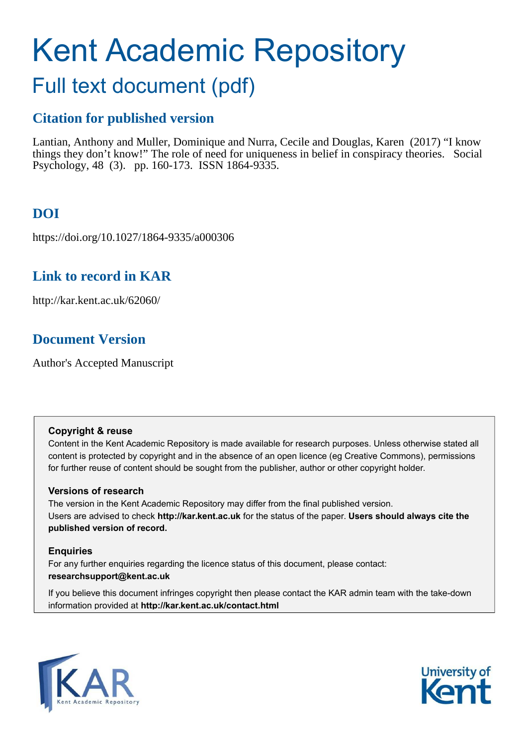# Kent Academic Repository

## Full text document (pdf)

## **Citation for published version**

Lantian, Anthony and Muller, Dominique and Nurra, Cecile and Douglas, Karen (2017) "I know things they don't know!" The role of need for uniqueness in belief in conspiracy theories. Social Psychology, 48 (3). pp. 160-173. ISSN 1864-9335.

## **DOI**

https://doi.org/10.1027/1864-9335/a000306

## **Link to record in KAR**

http://kar.kent.ac.uk/62060/

## **Document Version**

Author's Accepted Manuscript

#### **Copyright & reuse**

Content in the Kent Academic Repository is made available for research purposes. Unless otherwise stated all content is protected by copyright and in the absence of an open licence (eg Creative Commons), permissions for further reuse of content should be sought from the publisher, author or other copyright holder.

#### **Versions of research**

The version in the Kent Academic Repository may differ from the final published version. Users are advised to check **http://kar.kent.ac.uk** for the status of the paper. **Users should always cite the published version of record.**

#### **Enquiries**

For any further enquiries regarding the licence status of this document, please contact: **researchsupport@kent.ac.uk**

If you believe this document infringes copyright then please contact the KAR admin team with the take-down information provided at **http://kar.kent.ac.uk/contact.html**



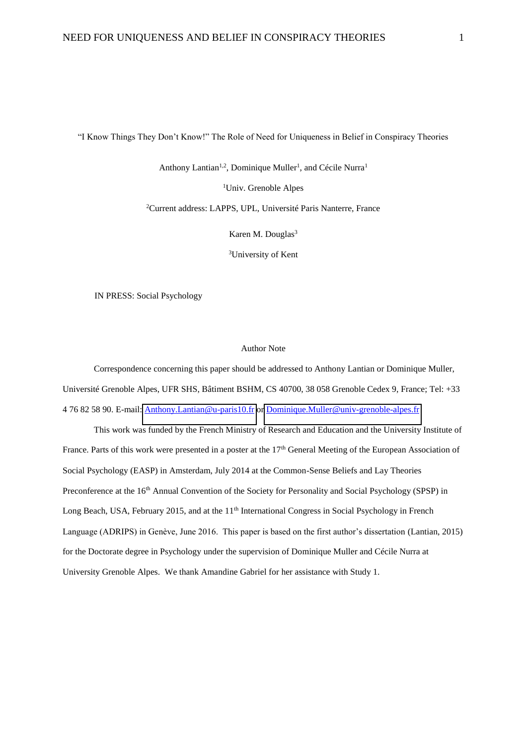"I Know Things They Don't Know!" The Role of Need for Uniqueness in Belief in Conspiracy Theories

Anthony Lantian<sup>1,2</sup>, Dominique Muller<sup>1</sup>, and Cécile Nurra<sup>1</sup>

<sup>1</sup>Univ. Grenoble Alpes

<sup>2</sup>Current address: LAPPS, UPL, Université Paris Nanterre, France

Karen M. Douglas<sup>3</sup>

<sup>3</sup>University of Kent

IN PRESS: Social Psychology

#### Author Note

Correspondence concerning this paper should be addressed to Anthony Lantian or Dominique Muller, Université Grenoble Alpes, UFR SHS, Bâtiment BSHM, CS 40700, 38 058 Grenoble Cedex 9, France; Tel: +33 4 76 82 58 90. E-mail: [Anthony.Lantian@u-paris10.fr o](file:///C:/Users/Anthony/Dropbox/Théories%20du%20complot/Etudes%20NFU-rareté-complot/PAID/Anthony.Lantian@u-paris10.fr)r [Dominique.Muller@univ-grenoble-alpes.fr](mailto:Dominique.Muller@univ-grenoble-alpes.fr) 

This work was funded by the French Ministry of Research and Education and the University Institute of France. Parts of this work were presented in a poster at the 17<sup>th</sup> General Meeting of the European Association of Social Psychology (EASP) in Amsterdam, July 2014 at the Common-Sense Beliefs and Lay Theories Preconference at the 16<sup>th</sup> Annual Convention of the Society for Personality and Social Psychology (SPSP) in Long Beach, USA, February 2015, and at the 11<sup>th</sup> International Congress in Social Psychology in French Language (ADRIPS) in Genève, June 2016. This paper is based on the first author's dissertation (Lantian, 2015) for the Doctorate degree in Psychology under the supervision of Dominique Muller and Cécile Nurra at University Grenoble Alpes. We thank Amandine Gabriel for her assistance with Study 1.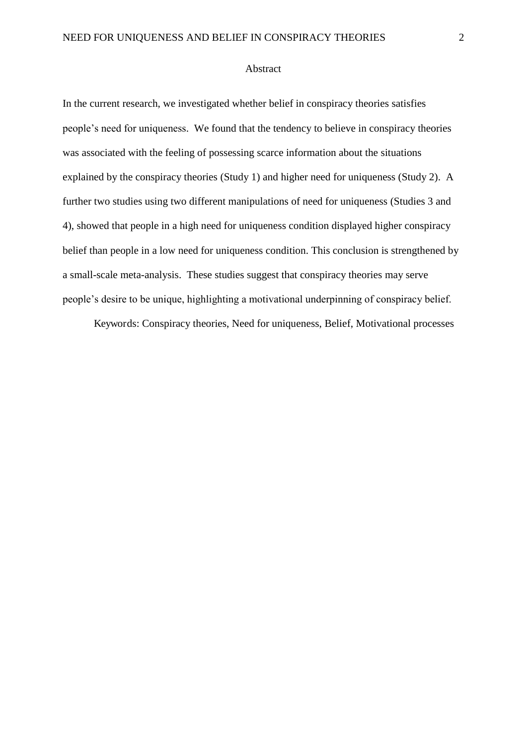#### Abstract

In the current research, we investigated whether belief in conspiracy theories satisfies people's need for uniqueness. We found that the tendency to believe in conspiracy theories was associated with the feeling of possessing scarce information about the situations explained by the conspiracy theories (Study 1) and higher need for uniqueness (Study 2). A further two studies using two different manipulations of need for uniqueness (Studies 3 and 4), showed that people in a high need for uniqueness condition displayed higher conspiracy belief than people in a low need for uniqueness condition. This conclusion is strengthened by a small-scale meta-analysis. These studies suggest that conspiracy theories may serve people's desire to be unique, highlighting a motivational underpinning of conspiracy belief.

Keywords: Conspiracy theories, Need for uniqueness, Belief, Motivational processes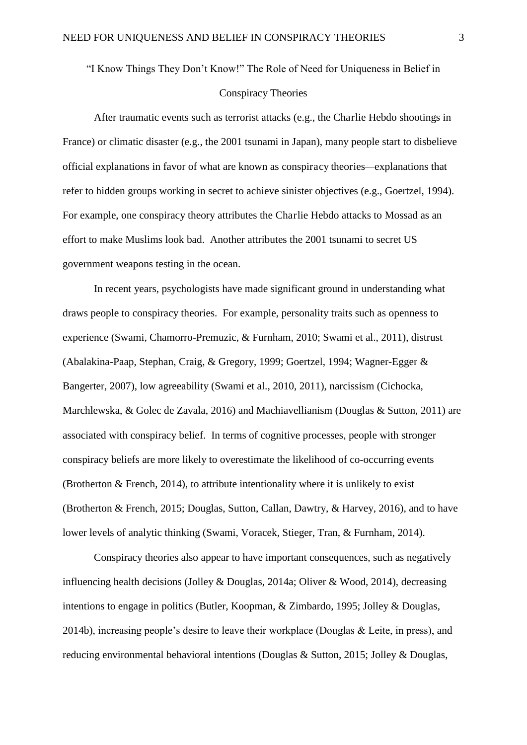#### "I Know Things They Don't Know!" The Role of Need for Uniqueness in Belief in

#### Conspiracy Theories

After traumatic events such as terrorist attacks (e.g., the Charlie Hebdo shootings in France) or climatic disaster (e.g., the 2001 tsunami in Japan), many people start to disbelieve official explanations in favor of what are known as conspiracy theories*—*explanations that refer to hidden groups working in secret to achieve sinister objectives (e.g., Goertzel, 1994). For example, one conspiracy theory attributes the Charlie Hebdo attacks to Mossad as an effort to make Muslims look bad. Another attributes the 2001 tsunami to secret US government weapons testing in the ocean.

In recent years, psychologists have made significant ground in understanding what draws people to conspiracy theories. For example, personality traits such as openness to experience (Swami, Chamorro-Premuzic, & Furnham, 2010; Swami et al., 2011), distrust (Abalakina-Paap, Stephan, Craig, & Gregory, 1999; Goertzel, 1994; Wagner-Egger & Bangerter, 2007), low agreeability (Swami et al., 2010, 2011), narcissism (Cichocka, Marchlewska, & Golec de Zavala, 2016) and Machiavellianism (Douglas & Sutton, 2011) are associated with conspiracy belief. In terms of cognitive processes, people with stronger conspiracy beliefs are more likely to overestimate the likelihood of co-occurring events (Brotherton  $&$  French, 2014), to attribute intentionality where it is unlikely to exist (Brotherton & French, 2015; Douglas, Sutton, Callan, Dawtry, & Harvey, 2016), and to have lower levels of analytic thinking (Swami, Voracek, Stieger, Tran, & Furnham, 2014).

Conspiracy theories also appear to have important consequences, such as negatively influencing health decisions (Jolley & Douglas, 2014a; Oliver & Wood, 2014), decreasing intentions to engage in politics (Butler, Koopman, & Zimbardo, 1995; Jolley & Douglas, 2014b), increasing people's desire to leave their workplace (Douglas  $\&$  Leite, in press), and reducing environmental behavioral intentions (Douglas & Sutton, 2015; Jolley & Douglas,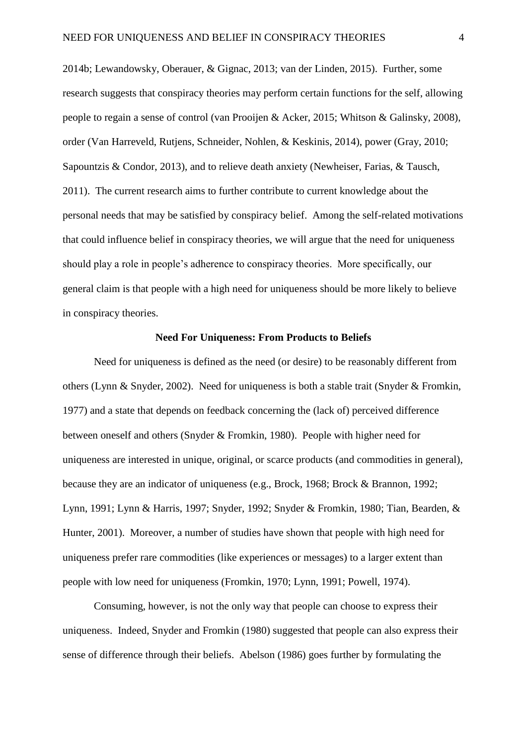2014b; Lewandowsky, Oberauer, & Gignac, 2013; van der Linden, 2015). Further, some research suggests that conspiracy theories may perform certain functions for the self, allowing people to regain a sense of control (van Prooijen & Acker, 2015; Whitson & Galinsky, 2008), order (Van Harreveld, Rutjens, Schneider, Nohlen, & Keskinis, 2014), power (Gray, 2010; Sapountzis & Condor, 2013), and to relieve death anxiety (Newheiser, Farias, & Tausch, 2011). The current research aims to further contribute to current knowledge about the personal needs that may be satisfied by conspiracy belief. Among the self-related motivations that could influence belief in conspiracy theories, we will argue that the need for uniqueness should play a role in people's adherence to conspiracy theories. More specifically, our general claim is that people with a high need for uniqueness should be more likely to believe in conspiracy theories.

#### **Need For Uniqueness: From Products to Beliefs**

Need for uniqueness is defined as the need (or desire) to be reasonably different from others (Lynn & Snyder, 2002). Need for uniqueness is both a stable trait (Snyder & Fromkin, 1977) and a state that depends on feedback concerning the (lack of) perceived difference between oneself and others (Snyder & Fromkin, 1980). People with higher need for uniqueness are interested in unique, original, or scarce products (and commodities in general), because they are an indicator of uniqueness (e.g., Brock, 1968; Brock & Brannon, 1992; Lynn, 1991; Lynn & Harris, 1997; Snyder, 1992; Snyder & Fromkin, 1980; Tian, Bearden, & Hunter, 2001). Moreover, a number of studies have shown that people with high need for uniqueness prefer rare commodities (like experiences or messages) to a larger extent than people with low need for uniqueness (Fromkin, 1970; Lynn, 1991; Powell, 1974).

Consuming, however, is not the only way that people can choose to express their uniqueness. Indeed, Snyder and Fromkin (1980) suggested that people can also express their sense of difference through their beliefs. Abelson (1986) goes further by formulating the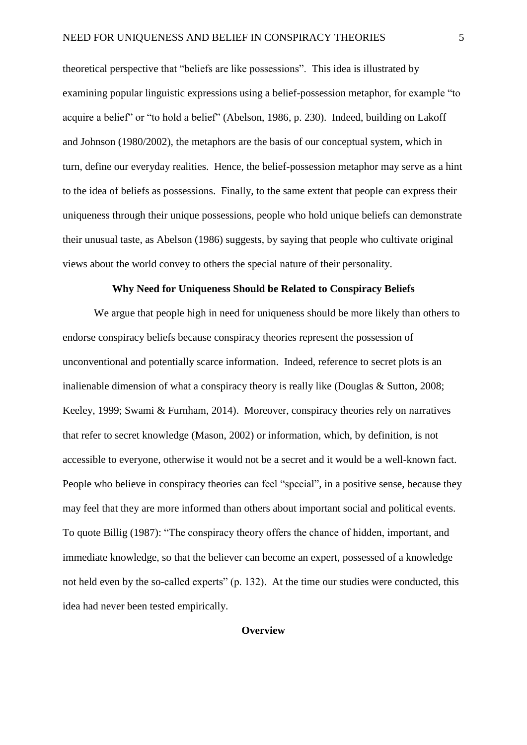theoretical perspective that "beliefs are like possessions". This idea is illustrated by examining popular linguistic expressions using a belief-possession metaphor, for example "to acquire a belief" or "to hold a belief" (Abelson, 1986, p. 230). Indeed, building on Lakoff and Johnson (1980/2002), the metaphors are the basis of our conceptual system, which in turn, define our everyday realities. Hence, the belief-possession metaphor may serve as a hint to the idea of beliefs as possessions. Finally, to the same extent that people can express their uniqueness through their unique possessions, people who hold unique beliefs can demonstrate their unusual taste, as Abelson (1986) suggests, by saying that people who cultivate original views about the world convey to others the special nature of their personality.

#### **Why Need for Uniqueness Should be Related to Conspiracy Beliefs**

 We argue that people high in need for uniqueness should be more likely than others to endorse conspiracy beliefs because conspiracy theories represent the possession of unconventional and potentially scarce information. Indeed, reference to secret plots is an inalienable dimension of what a conspiracy theory is really like (Douglas & Sutton, 2008; Keeley, 1999; Swami & Furnham, 2014). Moreover, conspiracy theories rely on narratives that refer to secret knowledge (Mason, 2002) or information, which, by definition, is not accessible to everyone, otherwise it would not be a secret and it would be a well-known fact. People who believe in conspiracy theories can feel "special", in a positive sense, because they may feel that they are more informed than others about important social and political events. To quote Billig (1987): "The conspiracy theory offers the chance of hidden, important, and immediate knowledge, so that the believer can become an expert, possessed of a knowledge not held even by the so-called experts" (p. 132). At the time our studies were conducted, this idea had never been tested empirically.

#### **Overview**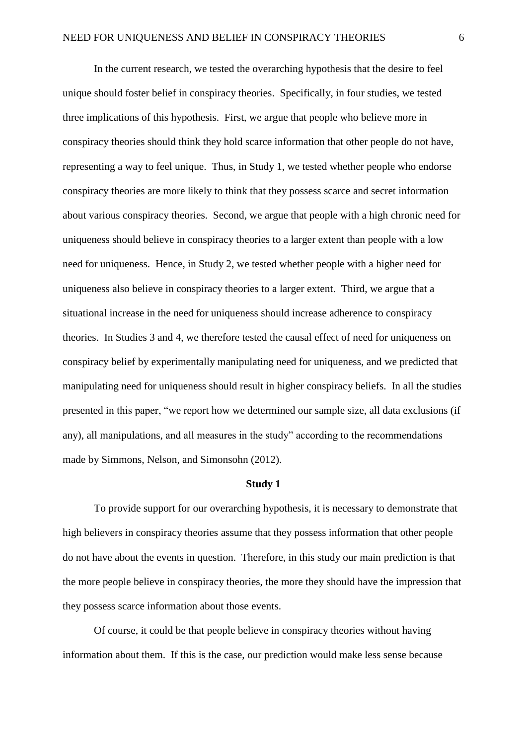In the current research, we tested the overarching hypothesis that the desire to feel unique should foster belief in conspiracy theories. Specifically, in four studies, we tested three implications of this hypothesis. First, we argue that people who believe more in conspiracy theories should think they hold scarce information that other people do not have, representing a way to feel unique. Thus, in Study 1, we tested whether people who endorse conspiracy theories are more likely to think that they possess scarce and secret information about various conspiracy theories. Second, we argue that people with a high chronic need for uniqueness should believe in conspiracy theories to a larger extent than people with a low need for uniqueness. Hence, in Study 2, we tested whether people with a higher need for uniqueness also believe in conspiracy theories to a larger extent. Third, we argue that a situational increase in the need for uniqueness should increase adherence to conspiracy theories. In Studies 3 and 4, we therefore tested the causal effect of need for uniqueness on conspiracy belief by experimentally manipulating need for uniqueness, and we predicted that manipulating need for uniqueness should result in higher conspiracy beliefs. In all the studies presented in this paper, "we report how we determined our sample size, all data exclusions (if any), all manipulations, and all measures in the study" according to the recommendations made by Simmons, Nelson, and Simonsohn (2012).

#### **Study 1**

To provide support for our overarching hypothesis, it is necessary to demonstrate that high believers in conspiracy theories assume that they possess information that other people do not have about the events in question. Therefore, in this study our main prediction is that the more people believe in conspiracy theories, the more they should have the impression that they possess scarce information about those events.

Of course, it could be that people believe in conspiracy theories without having information about them. If this is the case, our prediction would make less sense because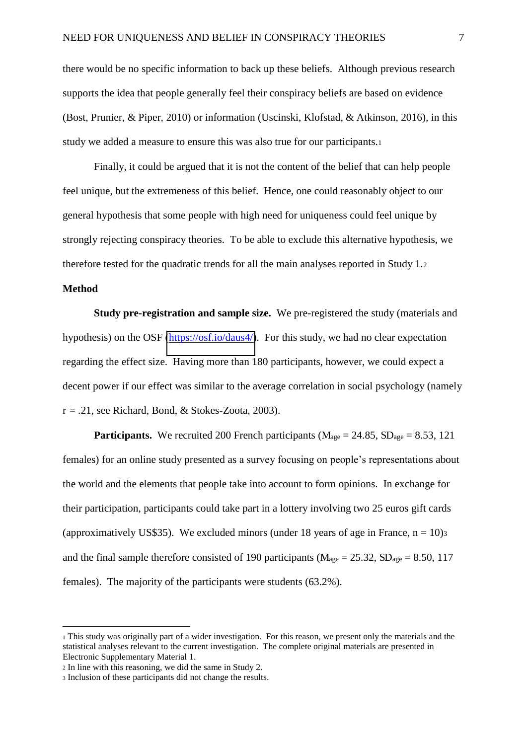there would be no specific information to back up these beliefs. Although previous research supports the idea that people generally feel their conspiracy beliefs are based on evidence (Bost, Prunier, & Piper, 2010) or information (Uscinski, Klofstad, & Atkinson, 2016), in this study we added a measure to ensure this was also true for our participants.<sup>1</sup>

Finally, it could be argued that it is not the content of the belief that can help people feel unique, but the extremeness of this belief. Hence, one could reasonably object to our general hypothesis that some people with high need for uniqueness could feel unique by strongly rejecting conspiracy theories. To be able to exclude this alternative hypothesis, we therefore tested for the quadratic trends for all the main analyses reported in Study 1.<sup>2</sup>

#### **Method**

 $\overline{a}$ 

**Study pre-registration and sample size.** We pre-registered the study (materials and hypothesis) on the OSF [\(https://osf.io/daus4/\)](https://osf.io/daus4/). For this study, we had no clear expectation regarding the effect size. Having more than 180 participants, however, we could expect a decent power if our effect was similar to the average correlation in social psychology (namely  $r = .21$ , see Richard, Bond, & Stokes-Zoota, 2003).

**Participants.** We recruited 200 French participants ( $M_{\text{age}} = 24.85$ ,  $SD_{\text{age}} = 8.53$ , 121 females) for an online study presented as a survey focusing on people's representations about the world and the elements that people take into account to form opinions. In exchange for their participation, participants could take part in a lottery involving two 25 euros gift cards (approximatively US\$35). We excluded minors (under 18 years of age in France,  $n = 10$ ) and the final sample therefore consisted of 190 participants ( $M_{\text{age}} = 25.32$ ,  $SD_{\text{age}} = 8.50$ , 117 females). The majority of the participants were students (63.2%).

<sup>1</sup> This study was originally part of a wider investigation. For this reason, we present only the materials and the statistical analyses relevant to the current investigation. The complete original materials are presented in Electronic Supplementary Material 1.

<sup>2</sup> In line with this reasoning, we did the same in Study 2.

<sup>3</sup> Inclusion of these participants did not change the results.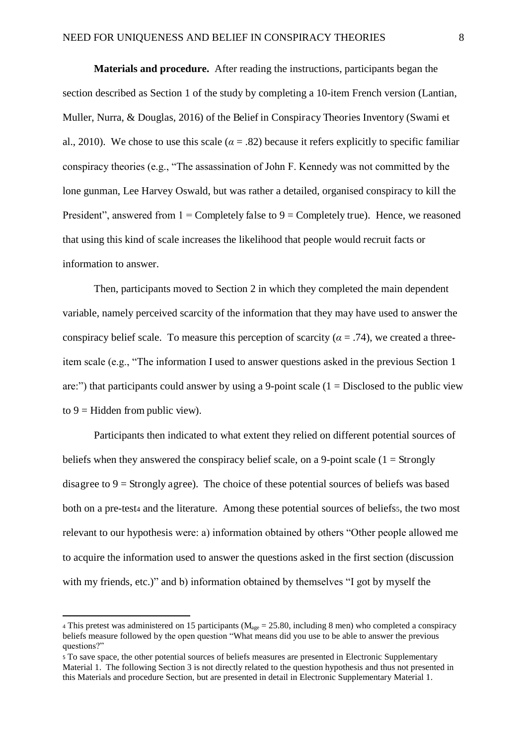**Materials and procedure.** After reading the instructions, participants began the section described as Section 1 of the study by completing a 10-item French version (Lantian, Muller, Nurra, & Douglas, 2016) of the Belief in Conspiracy Theories Inventory (Swami et al., 2010). We chose to use this scale ( $\alpha = .82$ ) because it refers explicitly to specific familiar conspiracy theories (e.g., "The assassination of John F. Kennedy was not committed by the lone gunman, Lee Harvey Oswald, but was rather a detailed, organised conspiracy to kill the President", answered from  $1 =$  Completely false to  $9 =$  Completely true). Hence, we reasoned that using this kind of scale increases the likelihood that people would recruit facts or information to answer.

Then, participants moved to Section 2 in which they completed the main dependent variable, namely perceived scarcity of the information that they may have used to answer the conspiracy belief scale. To measure this perception of scarcity ( $\alpha = .74$ ), we created a threeitem scale (e.g., "The information I used to answer questions asked in the previous Section 1 are:") that participants could answer by using a 9-point scale  $(1 = Disclosed$  to the public view to  $9$  = Hidden from public view).

 Participants then indicated to what extent they relied on different potential sources of beliefs when they answered the conspiracy belief scale, on a 9-point scale  $(1 = \text{Strongly})$ disagree to  $9 =$  Strongly agree). The choice of these potential sources of beliefs was based both on a pre-test4 and the literature. Among these potential sources of beliefss, the two most relevant to our hypothesis were: a) information obtained by others "Other people allowed me to acquire the information used to answer the questions asked in the first section (discussion with my friends, etc.)" and b) information obtained by themselves "I got by myself the

 $\overline{a}$ 

<sup>4</sup> This pretest was administered on 15 participants ( $M_{\text{age}} = 25.80$ , including 8 men) who completed a conspiracy beliefs measure followed by the open question "What means did you use to be able to answer the previous questions?"

<sup>5</sup> To save space, the other potential sources of beliefs measures are presented in Electronic Supplementary Material 1. The following Section 3 is not directly related to the question hypothesis and thus not presented in this Materials and procedure Section, but are presented in detail in Electronic Supplementary Material 1.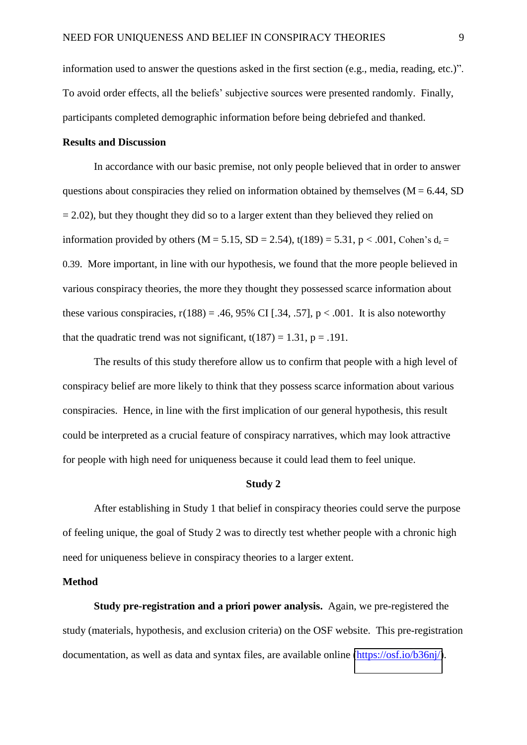information used to answer the questions asked in the first section (e.g., media, reading, etc.)". To avoid order effects, all the beliefs' subjective sources were presented randomly. Finally, participants completed demographic information before being debriefed and thanked.

#### **Results and Discussion**

In accordance with our basic premise, not only people believed that in order to answer questions about conspiracies they relied on information obtained by themselves  $(M = 6.44, SD)$  $= 2.02$ ), but they thought they did so to a larger extent than they believed they relied on information provided by others (M = 5.15, SD = 2.54), t(189) = 5.31, p < .001, Cohen's  $d_z$  = 0.39. More important, in line with our hypothesis, we found that the more people believed in various conspiracy theories, the more they thought they possessed scarce information about these various conspiracies,  $r(188) = .46, 95\%$  CI [.34, .57],  $p < .001$ . It is also noteworthy that the quadratic trend was not significant,  $t(187) = 1.31$ ,  $p = .191$ .

 The results of this study therefore allow us to confirm that people with a high level of conspiracy belief are more likely to think that they possess scarce information about various conspiracies. Hence, in line with the first implication of our general hypothesis, this result could be interpreted as a crucial feature of conspiracy narratives, which may look attractive for people with high need for uniqueness because it could lead them to feel unique.

#### **Study 2**

After establishing in Study 1 that belief in conspiracy theories could serve the purpose of feeling unique, the goal of Study 2 was to directly test whether people with a chronic high need for uniqueness believe in conspiracy theories to a larger extent.

#### **Method**

**Study pre-registration and a priori power analysis.** Again, we pre-registered the study (materials, hypothesis, and exclusion criteria) on the OSF website. This pre-registration documentation, as well as data and syntax files, are available online [\(https://osf.io/b36nj/\)](https://osf.io/b36nj/).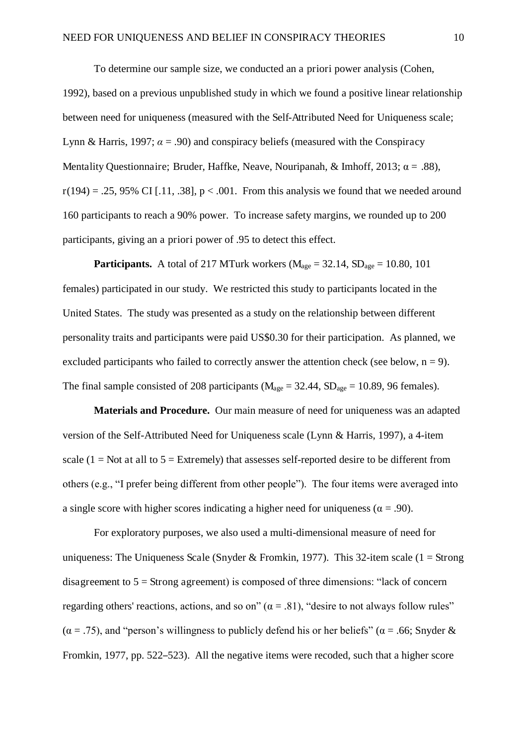To determine our sample size, we conducted an a priori power analysis (Cohen, 1992), based on a previous unpublished study in which we found a positive linear relationship between need for uniqueness (measured with the Self-Attributed Need for Uniqueness scale; Lynn & Harris, 1997;  $\alpha = .90$ ) and conspiracy beliefs (measured with the Conspiracy Mentality Questionnaire; Bruder, Haffke, Neave, Nouripanah, & Imhoff, 2013;  $\alpha = .88$ ),  $r(194) = .25, 95\%$  CI [.11, .38],  $p < .001$ . From this analysis we found that we needed around 160 participants to reach a 90% power. To increase safety margins, we rounded up to 200 participants, giving an a priori power of .95 to detect this effect.

**Participants.** A total of 217 MTurk workers ( $M_{\text{age}} = 32.14$ ,  $SD_{\text{age}} = 10.80$ , 101 females) participated in our study. We restricted this study to participants located in the United States. The study was presented as a study on the relationship between different personality traits and participants were paid US\$0.30 for their participation. As planned, we excluded participants who failed to correctly answer the attention check (see below,  $n = 9$ ). The final sample consisted of 208 participants ( $M_{\text{age}} = 32.44$ ,  $SD_{\text{age}} = 10.89$ , 96 females).

**Materials and Procedure.** Our main measure of need for uniqueness was an adapted version of the Self-Attributed Need for Uniqueness scale (Lynn & Harris, 1997), a 4-item scale  $(1 = Not at all to 5 = Extremely)$  that assesses self-reported desire to be different from others (e.g., "I prefer being different from other people"). The four items were averaged into a single score with higher scores indicating a higher need for uniqueness ( $\alpha = .90$ ).

For exploratory purposes, we also used a multi-dimensional measure of need for uniqueness: The Uniqueness Scale (Snyder & Fromkin, 1977). This 32-item scale (1 = Strong disagreement to  $5 =$  Strong agreement) is composed of three dimensions: "lack of concern regarding others' reactions, actions, and so on" ( $\alpha$  = .81), "desire to not always follow rules"  $(\alpha = .75)$ , and "person's willingness to publicly defend his or her beliefs" ( $\alpha = .66$ ; Snyder & Fromkin, 1977, pp. 522–523). All the negative items were recoded, such that a higher score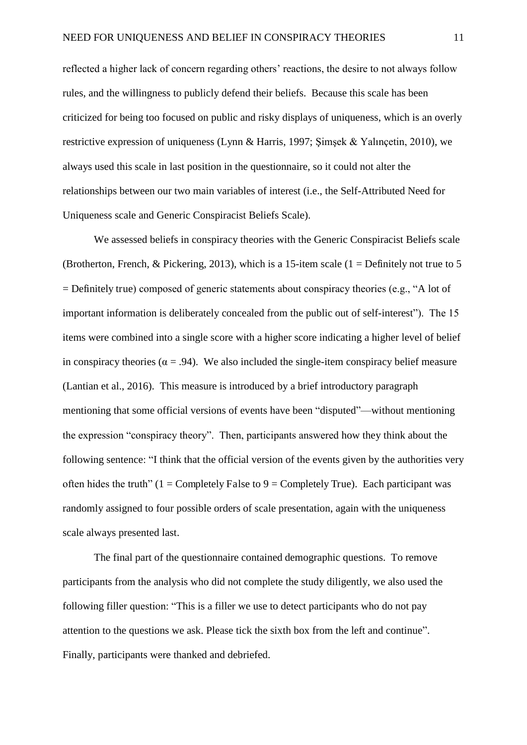reflected a higher lack of concern regarding others' reactions, the desire to not always follow rules, and the willingness to publicly defend their beliefs. Because this scale has been criticized for being too focused on public and risky displays of uniqueness, which is an overly restrictive expression of uniqueness (Lynn & Harris, 1997; Şimşek & Yalınçetin, 2010), we always used this scale in last position in the questionnaire, so it could not alter the relationships between our two main variables of interest (i.e., the Self-Attributed Need for Uniqueness scale and Generic Conspiracist Beliefs Scale).

We assessed beliefs in conspiracy theories with the Generic Conspiracist Beliefs scale (Brotherton, French, & Pickering, 2013), which is a 15-item scale  $(1 = Definitely not true to 5)$ = Definitely true) composed of generic statements about conspiracy theories (e.g., "A lot of important information is deliberately concealed from the public out of self-interest"). The 15 items were combined into a single score with a higher score indicating a higher level of belief in conspiracy theories ( $\alpha = .94$ ). We also included the single-item conspiracy belief measure (Lantian et al., 2016). This measure is introduced by a brief introductory paragraph mentioning that some official versions of events have been "disputed"—without mentioning the expression "conspiracy theory". Then, participants answered how they think about the following sentence: "I think that the official version of the events given by the authorities very often hides the truth"  $(1 = \text{Completely False to } 9 = \text{Completely True})$ . Each participant was randomly assigned to four possible orders of scale presentation, again with the uniqueness scale always presented last.

The final part of the questionnaire contained demographic questions. To remove participants from the analysis who did not complete the study diligently, we also used the following filler question: "This is a filler we use to detect participants who do not pay attention to the questions we ask. Please tick the sixth box from the left and continue". Finally, participants were thanked and debriefed.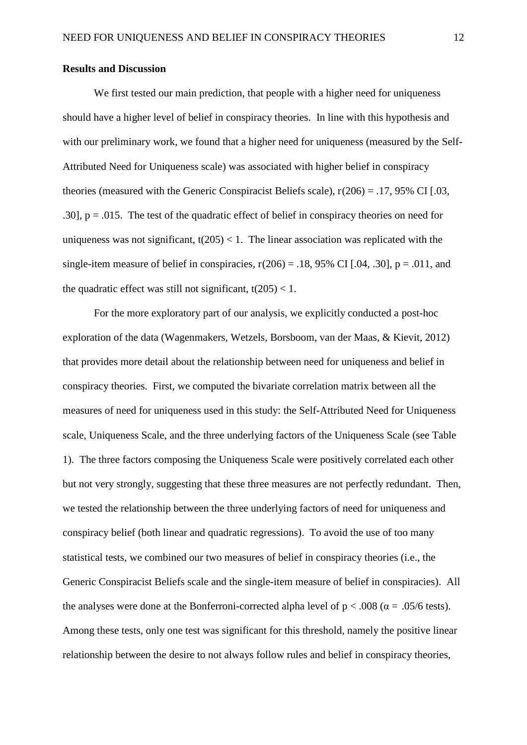#### **Results and Discussion**

We first tested our main prediction, that people with a higher need for uniqueness should have a higher level of belief in conspiracy theories. In line with this hypothesis and with our preliminary work, we found that a higher need for uniqueness (measured by the Self-Attributed Need for Uniqueness scale) was associated with higher belief in conspiracy theories (measured with the Generic Conspiracist Beliefs scale),  $r(206) = .17,95\%$  CI [.03, .30],  $p = .015$ . The test of the quadratic effect of belief in conspiracy theories on need for uniqueness was not significant,  $t(205) < 1$ . The linear association was replicated with the single-item measure of belief in conspiracies,  $r(206) = .18,95\%$  CI [.04, .30],  $p = .011$ , and the quadratic effect was still not significant,  $t(205) < 1$ .

For the more exploratory part of our analysis, we explicitly conducted a post-hoc exploration of the data (Wagenmakers, Wetzels, Borsboom, van der Maas, & Kievit, 2012) that provides more detail about the relationship between need for uniqueness and belief in conspiracy theories. First, we computed the bivariate correlation matrix between all the measures of need for uniqueness used in this study: the Self-Attributed Need for Uniqueness scale, Uniqueness Scale, and the three underlying factors of the Uniqueness Scale (see Table 1). The three factors composing the Uniqueness Scale were positively correlated each other but not very strongly, suggesting that these three measures are not perfectly redundant. Then, we tested the relationship between the three underlying factors of need for uniqueness and conspiracy belief (both linear and quadratic regressions). To avoid the use of too many statistical tests, we combined our two measures of belief in conspiracy theories (i.e., the Generic Conspiracist Beliefs scale and the single-item measure of belief in conspiracies). All the analyses were done at the Bonferroni-corrected alpha level of  $p < .008$  ( $\alpha = .05/6$  tests). Among these tests, only one test was significant for this threshold, namely the positive linear relationship between the desire to not always follow rules and belief in conspiracy theories,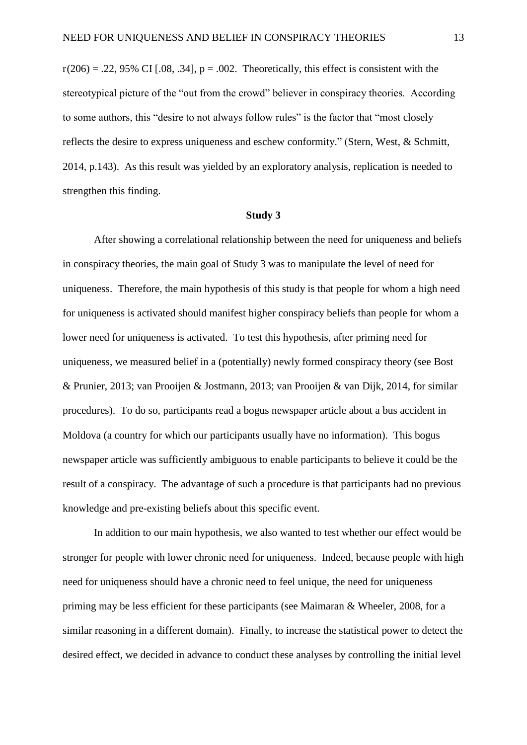$r(206) = .22,95\%$  CI [.08, .34],  $p = .002$ . Theoretically, this effect is consistent with the stereotypical picture of the "out from the crowd" believer in conspiracy theories. According to some authors, this "desire to not always follow rules" is the factor that "most closely reflects the desire to express uniqueness and eschew conformity." (Stern, West, & Schmitt, 2014, p.143). As this result was yielded by an exploratory analysis, replication is needed to strengthen this finding.

#### **Study 3**

After showing a correlational relationship between the need for uniqueness and beliefs in conspiracy theories, the main goal of Study 3 was to manipulate the level of need for uniqueness. Therefore, the main hypothesis of this study is that people for whom a high need for uniqueness is activated should manifest higher conspiracy beliefs than people for whom a lower need for uniqueness is activated. To test this hypothesis, after priming need for uniqueness, we measured belief in a (potentially) newly formed conspiracy theory (see Bost & Prunier, 2013; van Prooijen & Jostmann, 2013; van Prooijen & van Dijk, 2014, for similar procedures). To do so, participants read a bogus newspaper article about a bus accident in Moldova (a country for which our participants usually have no information). This bogus newspaper article was sufficiently ambiguous to enable participants to believe it could be the result of a conspiracy. The advantage of such a procedure is that participants had no previous knowledge and pre-existing beliefs about this specific event.

In addition to our main hypothesis, we also wanted to test whether our effect would be stronger for people with lower chronic need for uniqueness. Indeed, because people with high need for uniqueness should have a chronic need to feel unique, the need for uniqueness priming may be less efficient for these participants (see Maimaran & Wheeler, 2008, for a similar reasoning in a different domain). Finally, to increase the statistical power to detect the desired effect, we decided in advance to conduct these analyses by controlling the initial level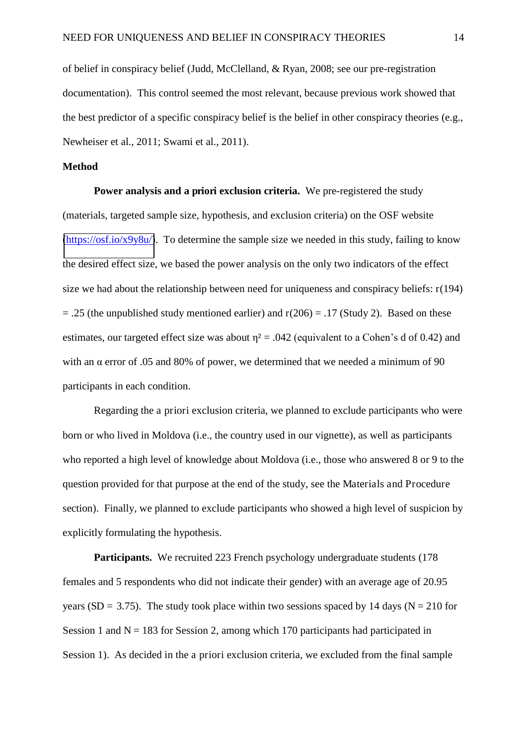of belief in conspiracy belief (Judd, McClelland, & Ryan, 2008; see our pre-registration documentation). This control seemed the most relevant, because previous work showed that the best predictor of a specific conspiracy belief is the belief in other conspiracy theories (e.g., Newheiser et al., 2011; Swami et al., 2011).

#### **Method**

**Power analysis and a priori exclusion criteria.** We pre-registered the study (materials, targeted sample size, hypothesis, and exclusion criteria) on the OSF website  $(\frac{https://osf.io/x9y8u/}{https://osf.io/x9y8u/}{)$ . To determine the sample size we needed in this study, failing to know the desired effect size, we based the power analysis on the only two indicators of the effect size we had about the relationship between need for uniqueness and conspiracy beliefs:  $r(194)$  $= .25$  (the unpublished study mentioned earlier) and  $r(206) = .17$  (Study 2). Based on these estimates, our targeted effect size was about  $\eta^2 = .042$  (equivalent to a Cohen's d of 0.42) and with an  $\alpha$  error of .05 and 80% of power, we determined that we needed a minimum of 90 participants in each condition.

Regarding the a priori exclusion criteria, we planned to exclude participants who were born or who lived in Moldova (i.e., the country used in our vignette), as well as participants who reported a high level of knowledge about Moldova (i.e., those who answered 8 or 9 to the question provided for that purpose at the end of the study, see the Materials and Procedure section). Finally, we planned to exclude participants who showed a high level of suspicion by explicitly formulating the hypothesis.

**Participants.** We recruited 223 French psychology undergraduate students (178) females and 5 respondents who did not indicate their gender) with an average age of 20.95 years (SD = 3.75). The study took place within two sessions spaced by 14 days ( $N = 210$  for Session 1 and  $N = 183$  for Session 2, among which 170 participants had participated in Session 1). As decided in the a priori exclusion criteria, we excluded from the final sample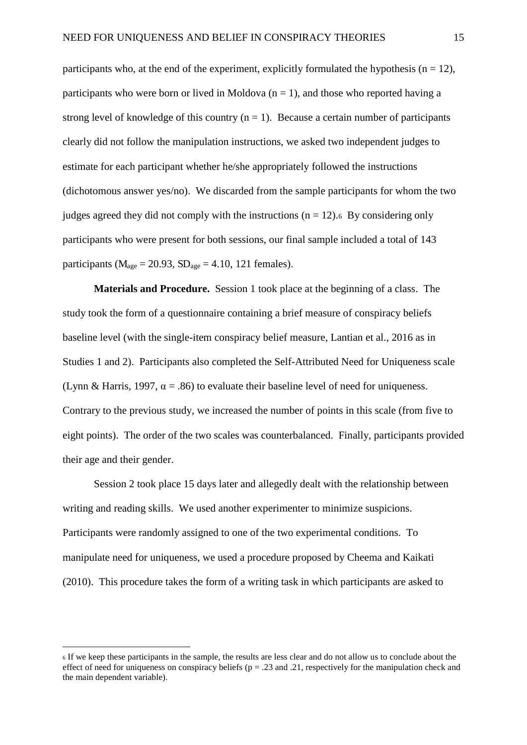participants who, at the end of the experiment, explicitly formulated the hypothesis ( $n = 12$ ), participants who were born or lived in Moldova  $(n = 1)$ , and those who reported having a strong level of knowledge of this country  $(n = 1)$ . Because a certain number of participants clearly did not follow the manipulation instructions, we asked two independent judges to estimate for each participant whether he/she appropriately followed the instructions (dichotomous answer yes/no). We discarded from the sample participants for whom the two judges agreed they did not comply with the instructions  $(n = 12)$ .<sup>6</sup> By considering only participants who were present for both sessions, our final sample included a total of 143 participants ( $M_{\text{age}} = 20.93$ ,  $SD_{\text{age}} = 4.10$ , 121 females).

**Materials and Procedure.** Session 1 took place at the beginning of a class. The study took the form of a questionnaire containing a brief measure of conspiracy beliefs baseline level (with the single-item conspiracy belief measure, Lantian et al., 2016 as in Studies 1 and 2). Participants also completed the Self-Attributed Need for Uniqueness scale (Lynn & Harris, 1997,  $\alpha = .86$ ) to evaluate their baseline level of need for uniqueness. Contrary to the previous study, we increased the number of points in this scale (from five to eight points). The order of the two scales was counterbalanced. Finally, participants provided their age and their gender.

 Session 2 took place 15 days later and allegedly dealt with the relationship between writing and reading skills. We used another experimenter to minimize suspicions. Participants were randomly assigned to one of the two experimental conditions. To manipulate need for uniqueness, we used a procedure proposed by Cheema and Kaikati (2010). This procedure takes the form of a writing task in which participants are asked to

 $\overline{a}$ 

<sup>6</sup> If we keep these participants in the sample, the results are less clear and do not allow us to conclude about the effect of need for uniqueness on conspiracy beliefs ( $p = .23$  and .21, respectively for the manipulation check and the main dependent variable).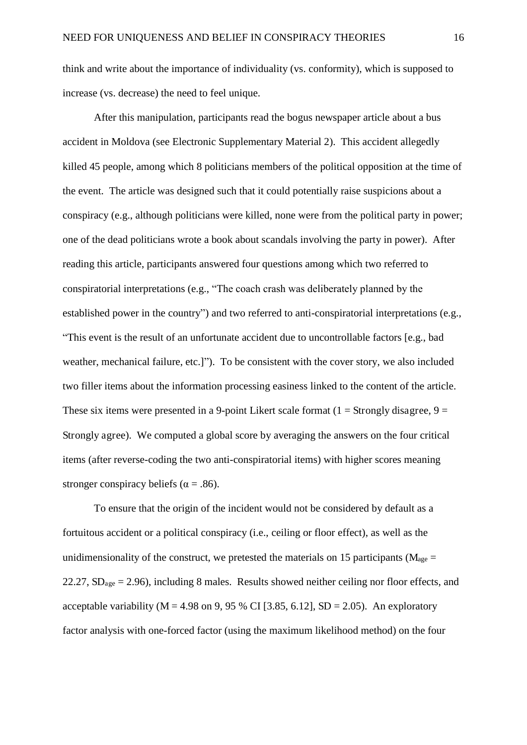think and write about the importance of individuality (vs. conformity), which is supposed to increase (vs. decrease) the need to feel unique.

 After this manipulation, participants read the bogus newspaper article about a bus accident in Moldova (see Electronic Supplementary Material 2). This accident allegedly killed 45 people, among which 8 politicians members of the political opposition at the time of the event. The article was designed such that it could potentially raise suspicions about a conspiracy (e.g., although politicians were killed, none were from the political party in power; one of the dead politicians wrote a book about scandals involving the party in power). After reading this article, participants answered four questions among which two referred to conspiratorial interpretations (e.g., "The coach crash was deliberately planned by the established power in the country") and two referred to anti-conspiratorial interpretations (e.g., "This event is the result of an unfortunate accident due to uncontrollable factors [e.g., bad weather, mechanical failure, etc.]"). To be consistent with the cover story, we also included two filler items about the information processing easiness linked to the content of the article. These six items were presented in a 9-point Likert scale format  $(1 =$  Strongly disagree,  $9 =$ Strongly agree). We computed a global score by averaging the answers on the four critical items (after reverse-coding the two anti-conspiratorial items) with higher scores meaning stronger conspiracy beliefs ( $\alpha = .86$ ).

 To ensure that the origin of the incident would not be considered by default as a fortuitous accident or a political conspiracy (i.e., ceiling or floor effect), as well as the unidimensionality of the construct, we pretested the materials on 15 participants ( $M_{\text{age}} =$ 22.27,  $SD<sub>age</sub> = 2.96$ ), including 8 males. Results showed neither ceiling nor floor effects, and acceptable variability ( $M = 4.98$  on 9, 95 % CI [3.85, 6.12], SD = 2.05). An exploratory factor analysis with one-forced factor (using the maximum likelihood method) on the four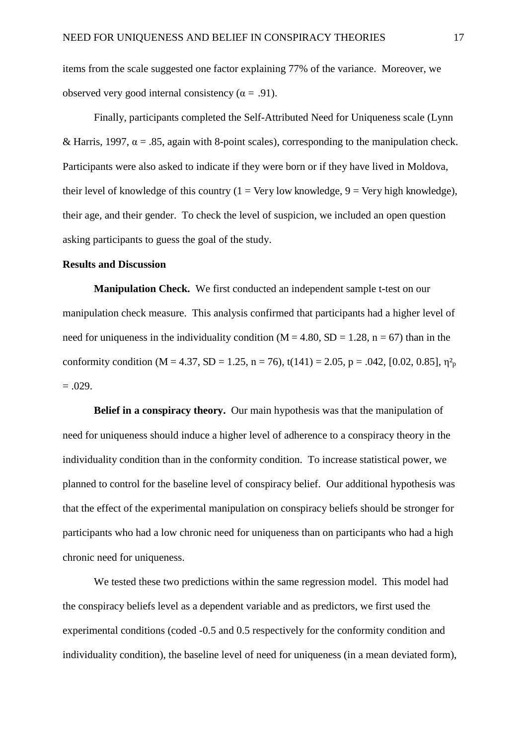items from the scale suggested one factor explaining 77% of the variance. Moreover, we observed very good internal consistency ( $\alpha$  = .91).

 Finally, participants completed the Self-Attributed Need for Uniqueness scale (Lynn & Harris, 1997,  $\alpha = .85$ , again with 8-point scales), corresponding to the manipulation check. Participants were also asked to indicate if they were born or if they have lived in Moldova, their level of knowledge of this country ( $1 = \text{Very low knowledge}, 9 = \text{Very high knowledge}$ ), their age, and their gender. To check the level of suspicion, we included an open question asking participants to guess the goal of the study.

#### **Results and Discussion**

**Manipulation Check.** We first conducted an independent sample t-test on our manipulation check measure. This analysis confirmed that participants had a higher level of need for uniqueness in the individuality condition ( $M = 4.80$ ,  $SD = 1.28$ ,  $n = 67$ ) than in the conformity condition (M = 4.37, SD = 1.25, n = 76), t(141) = 2.05, p = .042, [0.02, 0.85],  $\eta_p^2$  $=.029.$ 

**Belief in a conspiracy theory.** Our main hypothesis was that the manipulation of need for uniqueness should induce a higher level of adherence to a conspiracy theory in the individuality condition than in the conformity condition. To increase statistical power, we planned to control for the baseline level of conspiracy belief. Our additional hypothesis was that the effect of the experimental manipulation on conspiracy beliefs should be stronger for participants who had a low chronic need for uniqueness than on participants who had a high chronic need for uniqueness.

We tested these two predictions within the same regression model. This model had the conspiracy beliefs level as a dependent variable and as predictors, we first used the experimental conditions (coded -0.5 and 0.5 respectively for the conformity condition and individuality condition), the baseline level of need for uniqueness (in a mean deviated form),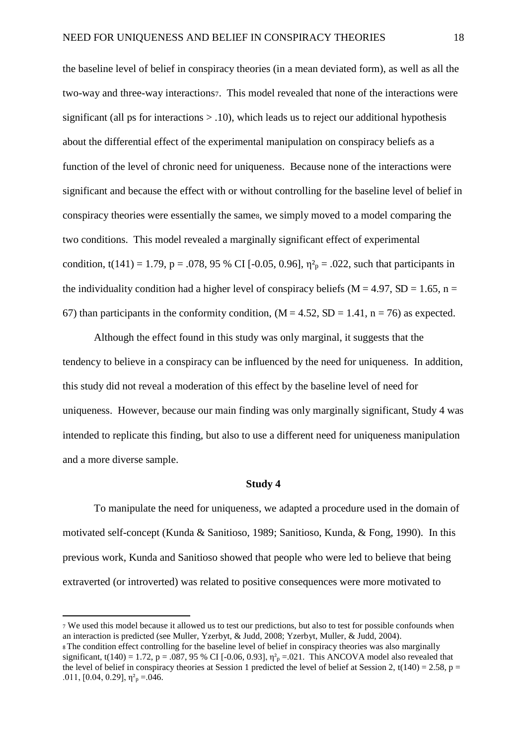the baseline level of belief in conspiracy theories (in a mean deviated form), as well as all the two-way and three-way interactions7. This model revealed that none of the interactions were significant (all ps for interactions  $> 0.10$ ), which leads us to reject our additional hypothesis about the differential effect of the experimental manipulation on conspiracy beliefs as a function of the level of chronic need for uniqueness. Because none of the interactions were significant and because the effect with or without controlling for the baseline level of belief in conspiracy theories were essentially the same8, we simply moved to a model comparing the two conditions. This model revealed a marginally significant effect of experimental condition, t(141) = 1.79, p = .078, 95 % CI [-0.05, 0.96],  $\eta_{p}^{2} = .022$ , such that participants in the individuality condition had a higher level of conspiracy beliefs ( $M = 4.97$ ,  $SD = 1.65$ ,  $n =$ 67) than participants in the conformity condition,  $(M = 4.52, SD = 1.41, n = 76)$  as expected.

Although the effect found in this study was only marginal, it suggests that the tendency to believe in a conspiracy can be influenced by the need for uniqueness. In addition, this study did not reveal a moderation of this effect by the baseline level of need for uniqueness. However, because our main finding was only marginally significant, Study 4 was intended to replicate this finding, but also to use a different need for uniqueness manipulation and a more diverse sample.

#### **Study 4**

 To manipulate the need for uniqueness, we adapted a procedure used in the domain of motivated self-concept (Kunda & Sanitioso, 1989; Sanitioso, Kunda, & Fong, 1990). In this previous work, Kunda and Sanitioso showed that people who were led to believe that being extraverted (or introverted) was related to positive consequences were more motivated to

<sup>7</sup> We used this model because it allowed us to test our predictions, but also to test for possible confounds when an interaction is predicted (see Muller, Yzerbyt, & Judd, 2008; Yzerbyt, Muller, & Judd, 2004). <sup>8</sup>The condition effect controlling for the baseline level of belief in conspiracy theories was also marginally significant, t(140) = 1.72, p = .087, 95 % CI [-0.06, 0.93],  $\eta_p^2$  = .021. This ANCOVA model also revealed that the level of belief in conspiracy theories at Session 1 predicted the level of belief at Session 2, t(140) = 2.58, p = .011, [0.04, 0.29],  $\eta_{p}^{2} = .046$ .

 $\overline{a}$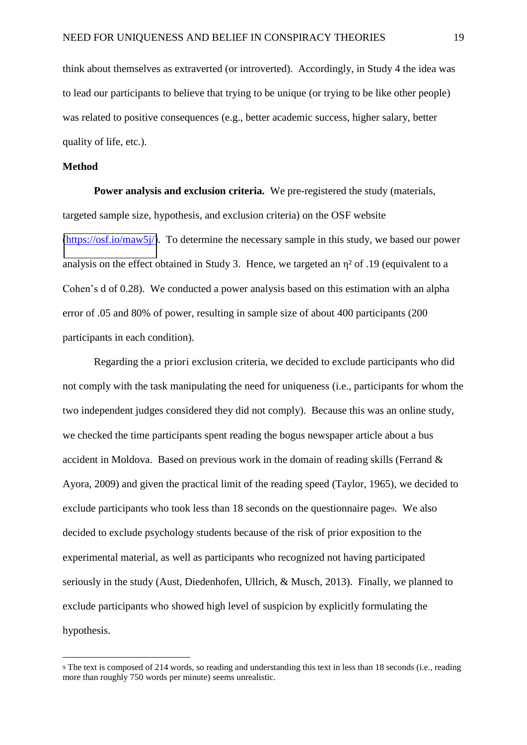think about themselves as extraverted (or introverted). Accordingly, in Study 4 the idea was to lead our participants to believe that trying to be unique (or trying to be like other people) was related to positive consequences (e.g., better academic success, higher salary, better quality of life, etc.).

#### **Method**

 $\overline{a}$ 

**Power analysis and exclusion criteria.** We pre-registered the study (materials, targeted sample size, hypothesis, and exclusion criteria) on the OSF website [\(https://osf.io/maw5j/\)](https://osf.io/maw5j/). To determine the necessary sample in this study, we based our power analysis on the effect obtained in Study 3. Hence, we targeted an  $\eta^2$  of .19 (equivalent to a Cohen's d of 0.28). We conducted a power analysis based on this estimation with an alpha error of .05 and 80% of power, resulting in sample size of about 400 participants (200 participants in each condition).

Regarding the a priori exclusion criteria, we decided to exclude participants who did not comply with the task manipulating the need for uniqueness (i.e., participants for whom the two independent judges considered they did not comply). Because this was an online study, we checked the time participants spent reading the bogus newspaper article about a bus accident in Moldova. Based on previous work in the domain of reading skills (Ferrand & Ayora, 2009) and given the practical limit of the reading speed (Taylor, 1965), we decided to exclude participants who took less than 18 seconds on the questionnaire page9. We also decided to exclude psychology students because of the risk of prior exposition to the experimental material, as well as participants who recognized not having participated seriously in the study (Aust, Diedenhofen, Ullrich, & Musch, 2013). Finally, we planned to exclude participants who showed high level of suspicion by explicitly formulating the hypothesis.

<sup>9</sup> The text is composed of 214 words, so reading and understanding this text in less than 18 seconds (i.e., reading more than roughly 750 words per minute) seems unrealistic.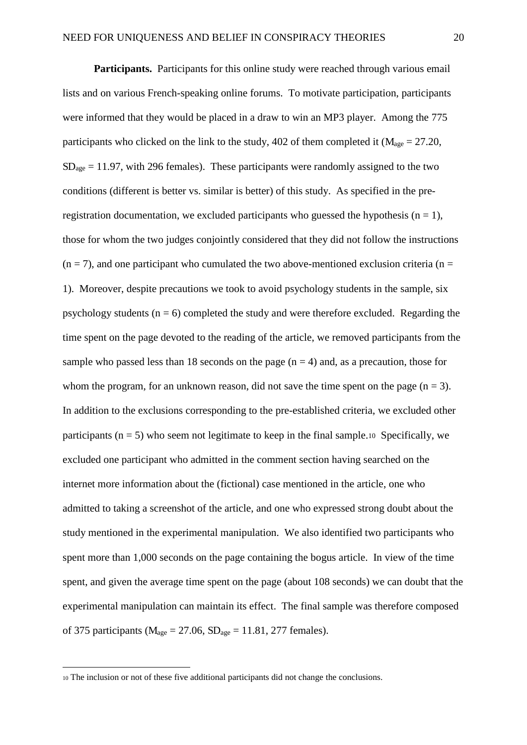Participants. Participants for this online study were reached through various email lists and on various French-speaking online forums. To motivate participation, participants were informed that they would be placed in a draw to win an MP3 player. Among the 775 participants who clicked on the link to the study, 402 of them completed it ( $M<sub>age</sub> = 27.20$ ,  $SD<sub>age</sub> = 11.97$ , with 296 females). These participants were randomly assigned to the two conditions (different is better vs. similar is better) of this study. As specified in the preregistration documentation, we excluded participants who guessed the hypothesis ( $n = 1$ ), those for whom the two judges conjointly considered that they did not follow the instructions  $(n = 7)$ , and one participant who cumulated the two above-mentioned exclusion criteria (n = 1). Moreover, despite precautions we took to avoid psychology students in the sample, six psychology students ( $n = 6$ ) completed the study and were therefore excluded. Regarding the time spent on the page devoted to the reading of the article, we removed participants from the sample who passed less than 18 seconds on the page  $(n = 4)$  and, as a precaution, those for whom the program, for an unknown reason, did not save the time spent on the page  $(n = 3)$ . In addition to the exclusions corresponding to the pre-established criteria, we excluded other participants ( $n = 5$ ) who seem not legitimate to keep in the final sample.10 Specifically, we excluded one participant who admitted in the comment section having searched on the internet more information about the (fictional) case mentioned in the article, one who admitted to taking a screenshot of the article, and one who expressed strong doubt about the study mentioned in the experimental manipulation. We also identified two participants who spent more than 1,000 seconds on the page containing the bogus article. In view of the time spent, and given the average time spent on the page (about 108 seconds) we can doubt that the experimental manipulation can maintain its effect. The final sample was therefore composed of 375 participants ( $M<sub>age</sub> = 27.06$ ,  $SD<sub>age</sub> = 11.81$ , 277 females).

 $\overline{a}$ 

<sup>10</sup> The inclusion or not of these five additional participants did not change the conclusions.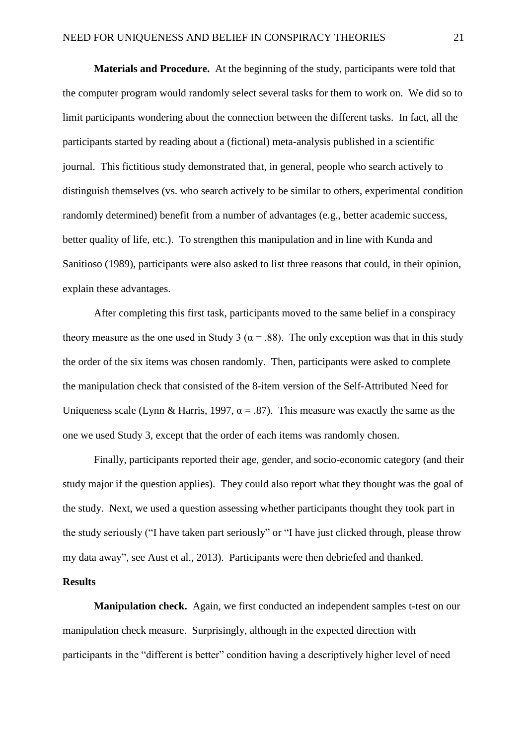**Materials and Procedure.** At the beginning of the study, participants were told that the computer program would randomly select several tasks for them to work on. We did so to limit participants wondering about the connection between the different tasks. In fact, all the participants started by reading about a (fictional) meta-analysis published in a scientific journal. This fictitious study demonstrated that, in general, people who search actively to distinguish themselves (vs. who search actively to be similar to others, experimental condition randomly determined) benefit from a number of advantages (e.g., better academic success, better quality of life, etc.). To strengthen this manipulation and in line with Kunda and Sanitioso (1989), participants were also asked to list three reasons that could, in their opinion, explain these advantages.

After completing this first task, participants moved to the same belief in a conspiracy theory measure as the one used in Study 3 ( $\alpha$  = .88). The only exception was that in this study the order of the six items was chosen randomly. Then, participants were asked to complete the manipulation check that consisted of the 8-item version of the Self-Attributed Need for Uniqueness scale (Lynn & Harris, 1997,  $\alpha = .87$ ). This measure was exactly the same as the one we used Study 3, except that the order of each items was randomly chosen.

 Finally, participants reported their age, gender, and socio-economic category (and their study major if the question applies). They could also report what they thought was the goal of the study. Next, we used a question assessing whether participants thought they took part in the study seriously ("I have taken part seriously" or "I have just clicked through, please throw my data away", see Aust et al., 2013). Participants were then debriefed and thanked.

#### **Results**

**Manipulation check.** Again, we first conducted an independent samples t-test on our manipulation check measure. Surprisingly, although in the expected direction with participants in the "different is better" condition having a descriptively higher level of need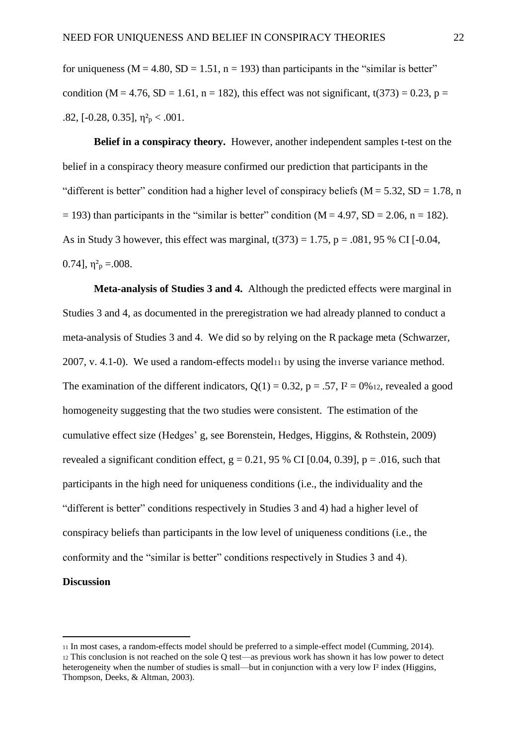for uniqueness ( $M = 4.80$ ,  $SD = 1.51$ ,  $n = 193$ ) than participants in the "similar is better" condition (M = 4.76, SD = 1.61, n = 182), this effect was not significant,  $t(373) = 0.23$ , p = .82, [-0.28, 0.35],  $\eta_{p}^{2} < .001$ .

**Belief in a conspiracy theory.** However, another independent samples t-test on the belief in a conspiracy theory measure confirmed our prediction that participants in the "different is better" condition had a higher level of conspiracy beliefs ( $M = 5.32$ ,  $SD = 1.78$ , n  $= 193$ ) than participants in the "similar is better" condition (M = 4.97, SD = 2.06, n = 182). As in Study 3 however, this effect was marginal,  $t(373) = 1.75$ ,  $p = .081$ , 95 % CI [-0.04, 0.74],  $\eta^2$ <sub>p</sub> = 008.

**Meta-analysis of Studies 3 and 4.** Although the predicted effects were marginal in Studies 3 and 4, as documented in the preregistration we had already planned to conduct a meta-analysis of Studies 3 and 4. We did so by relying on the R package meta (Schwarzer, 2007, v. 4.1-0). We used a random-effects model11 by using the inverse variance method. The examination of the different indicators,  $Q(1) = 0.32$ ,  $p = .57$ ,  $I^2 = 0\%$  12, revealed a good homogeneity suggesting that the two studies were consistent. The estimation of the cumulative effect size (Hedges' g, see Borenstein, Hedges, Higgins, & Rothstein, 2009) revealed a significant condition effect,  $g = 0.21$ , 95 % CI [0.04, 0.39], p = .016, such that participants in the high need for uniqueness conditions (i.e., the individuality and the "different is better" conditions respectively in Studies 3 and 4) had a higher level of conspiracy beliefs than participants in the low level of uniqueness conditions (i.e., the conformity and the "similar is better" conditions respectively in Studies 3 and 4). **Discussion** 

 $\overline{a}$ 

<sup>11</sup> In most cases, a random-effects model should be preferred to a simple-effect model (Cumming, 2014). <sup>12</sup> This conclusion is not reached on the sole Q test—as previous work has shown it has low power to detect heterogeneity when the number of studies is small—but in conjunction with a very low I<sup>2</sup> index (Higgins, Thompson, Deeks, & Altman, 2003).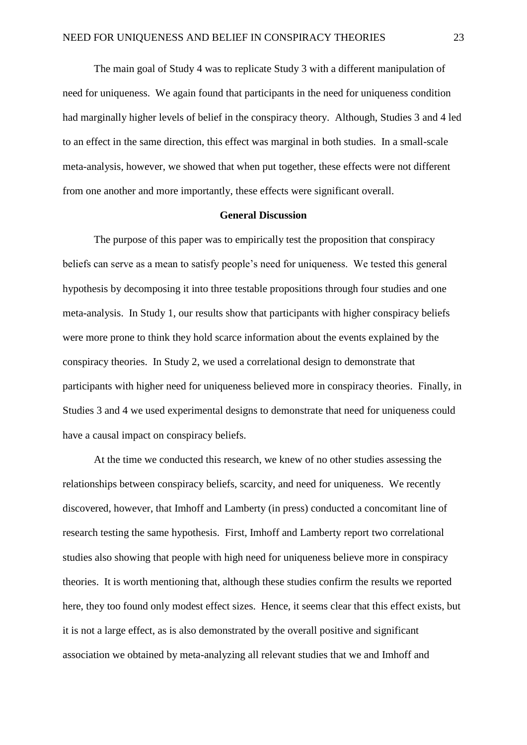The main goal of Study 4 was to replicate Study 3 with a different manipulation of need for uniqueness. We again found that participants in the need for uniqueness condition had marginally higher levels of belief in the conspiracy theory. Although, Studies 3 and 4 led to an effect in the same direction, this effect was marginal in both studies. In a small-scale meta-analysis, however, we showed that when put together, these effects were not different from one another and more importantly, these effects were significant overall.

#### **General Discussion**

 The purpose of this paper was to empirically test the proposition that conspiracy beliefs can serve as a mean to satisfy people's need for uniqueness. We tested this general hypothesis by decomposing it into three testable propositions through four studies and one meta-analysis. In Study 1, our results show that participants with higher conspiracy beliefs were more prone to think they hold scarce information about the events explained by the conspiracy theories. In Study 2, we used a correlational design to demonstrate that participants with higher need for uniqueness believed more in conspiracy theories. Finally, in Studies 3 and 4 we used experimental designs to demonstrate that need for uniqueness could have a causal impact on conspiracy beliefs.

At the time we conducted this research, we knew of no other studies assessing the relationships between conspiracy beliefs, scarcity, and need for uniqueness. We recently discovered, however, that Imhoff and Lamberty (in press) conducted a concomitant line of research testing the same hypothesis. First, Imhoff and Lamberty report two correlational studies also showing that people with high need for uniqueness believe more in conspiracy theories. It is worth mentioning that, although these studies confirm the results we reported here, they too found only modest effect sizes. Hence, it seems clear that this effect exists, but it is not a large effect, as is also demonstrated by the overall positive and significant association we obtained by meta-analyzing all relevant studies that we and Imhoff and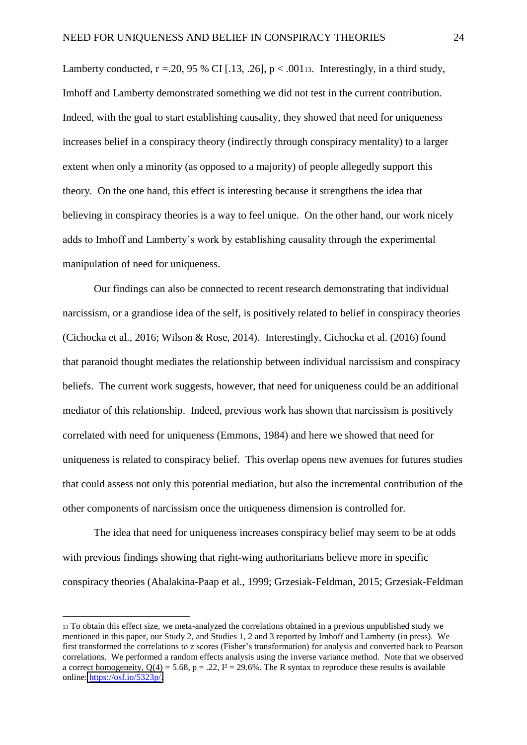Lamberty conducted,  $r = 20, 95\%$  CI [.13, .26],  $p < .001$ 13. Interestingly, in a third study, Imhoff and Lamberty demonstrated something we did not test in the current contribution. Indeed, with the goal to start establishing causality, they showed that need for uniqueness increases belief in a conspiracy theory (indirectly through conspiracy mentality) to a larger extent when only a minority (as opposed to a majority) of people allegedly support this theory. On the one hand, this effect is interesting because it strengthens the idea that believing in conspiracy theories is a way to feel unique. On the other hand, our work nicely adds to Imhoff and Lamberty's work by establishing causality through the experimental manipulation of need for uniqueness.

 Our findings can also be connected to recent research demonstrating that individual narcissism, or a grandiose idea of the self, is positively related to belief in conspiracy theories (Cichocka et al., 2016; Wilson & Rose, 2014). Interestingly, Cichocka et al. (2016) found that paranoid thought mediates the relationship between individual narcissism and conspiracy beliefs. The current work suggests, however, that need for uniqueness could be an additional mediator of this relationship. Indeed, previous work has shown that narcissism is positively correlated with need for uniqueness (Emmons, 1984) and here we showed that need for uniqueness is related to conspiracy belief. This overlap opens new avenues for futures studies that could assess not only this potential mediation, but also the incremental contribution of the other components of narcissism once the uniqueness dimension is controlled for.

 The idea that need for uniqueness increases conspiracy belief may seem to be at odds with previous findings showing that right-wing authoritarians believe more in specific conspiracy theories (Abalakina-Paap et al., 1999; Grzesiak-Feldman, 2015; Grzesiak-Feldman

 $\overline{a}$ 

<sup>13</sup> To obtain this effect size, we meta-analyzed the correlations obtained in a previous unpublished study we mentioned in this paper, our Study 2, and Studies 1, 2 and 3 reported by Imhoff and Lamberty (in press). We first transformed the correlations to z scores (Fisher's transformation) for analysis and converted back to Pearson correlations. We performed a random effects analysis using the inverse variance method. Note that we observed a correct homogeneity,  $Q(4) = 5.68$ ,  $p = .22$ ,  $I^2 = 29.6\%$ . The R syntax to reproduce these results is available online: [https://osf.io/5323p/.](https://osf.io/5323p/)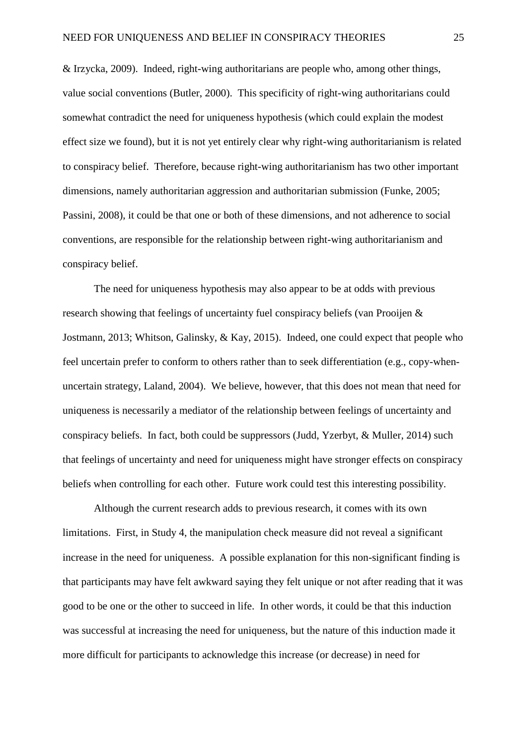& Irzycka, 2009). Indeed, right-wing authoritarians are people who, among other things, value social conventions (Butler, 2000). This specificity of right-wing authoritarians could somewhat contradict the need for uniqueness hypothesis (which could explain the modest effect size we found), but it is not yet entirely clear why right-wing authoritarianism is related to conspiracy belief. Therefore, because right-wing authoritarianism has two other important dimensions, namely authoritarian aggression and authoritarian submission (Funke, 2005; Passini, 2008), it could be that one or both of these dimensions, and not adherence to social conventions, are responsible for the relationship between right-wing authoritarianism and conspiracy belief.

The need for uniqueness hypothesis may also appear to be at odds with previous research showing that feelings of uncertainty fuel conspiracy beliefs (van Prooijen & Jostmann, 2013; Whitson, Galinsky, & Kay, 2015). Indeed, one could expect that people who feel uncertain prefer to conform to others rather than to seek differentiation (e.g., copy-whenuncertain strategy, Laland, 2004). We believe, however, that this does not mean that need for uniqueness is necessarily a mediator of the relationship between feelings of uncertainty and conspiracy beliefs. In fact, both could be suppressors (Judd, Yzerbyt, & Muller, 2014) such that feelings of uncertainty and need for uniqueness might have stronger effects on conspiracy beliefs when controlling for each other. Future work could test this interesting possibility.

Although the current research adds to previous research, it comes with its own limitations. First, in Study 4, the manipulation check measure did not reveal a significant increase in the need for uniqueness. A possible explanation for this non-significant finding is that participants may have felt awkward saying they felt unique or not after reading that it was good to be one or the other to succeed in life. In other words, it could be that this induction was successful at increasing the need for uniqueness, but the nature of this induction made it more difficult for participants to acknowledge this increase (or decrease) in need for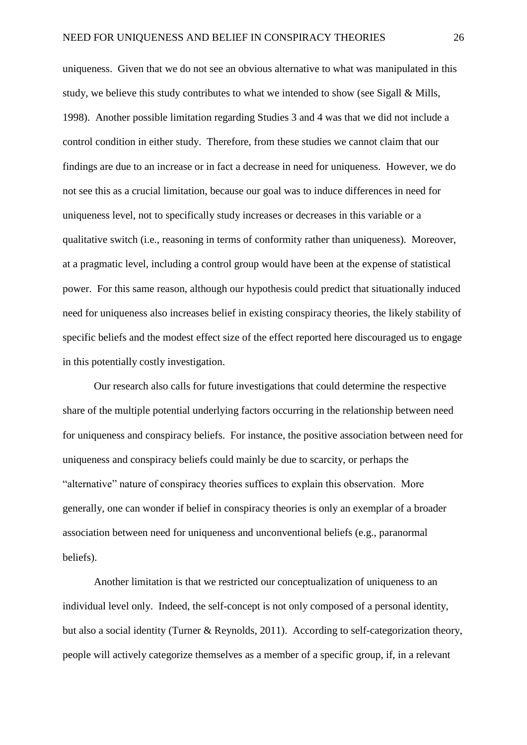uniqueness. Given that we do not see an obvious alternative to what was manipulated in this study, we believe this study contributes to what we intended to show (see Sigall & Mills, 1998). Another possible limitation regarding Studies 3 and 4 was that we did not include a control condition in either study. Therefore, from these studies we cannot claim that our findings are due to an increase or in fact a decrease in need for uniqueness. However, we do not see this as a crucial limitation, because our goal was to induce differences in need for uniqueness level, not to specifically study increases or decreases in this variable or a qualitative switch (i.e., reasoning in terms of conformity rather than uniqueness). Moreover, at a pragmatic level, including a control group would have been at the expense of statistical power. For this same reason, although our hypothesis could predict that situationally induced need for uniqueness also increases belief in existing conspiracy theories, the likely stability of specific beliefs and the modest effect size of the effect reported here discouraged us to engage in this potentially costly investigation.

Our research also calls for future investigations that could determine the respective share of the multiple potential underlying factors occurring in the relationship between need for uniqueness and conspiracy beliefs. For instance, the positive association between need for uniqueness and conspiracy beliefs could mainly be due to scarcity, or perhaps the "alternative" nature of conspiracy theories suffices to explain this observation. More generally, one can wonder if belief in conspiracy theories is only an exemplar of a broader association between need for uniqueness and unconventional beliefs (e.g., paranormal beliefs).

 Another limitation is that we restricted our conceptualization of uniqueness to an individual level only. Indeed, the self-concept is not only composed of a personal identity, but also a social identity (Turner & Reynolds, 2011). According to self-categorization theory, people will actively categorize themselves as a member of a specific group, if, in a relevant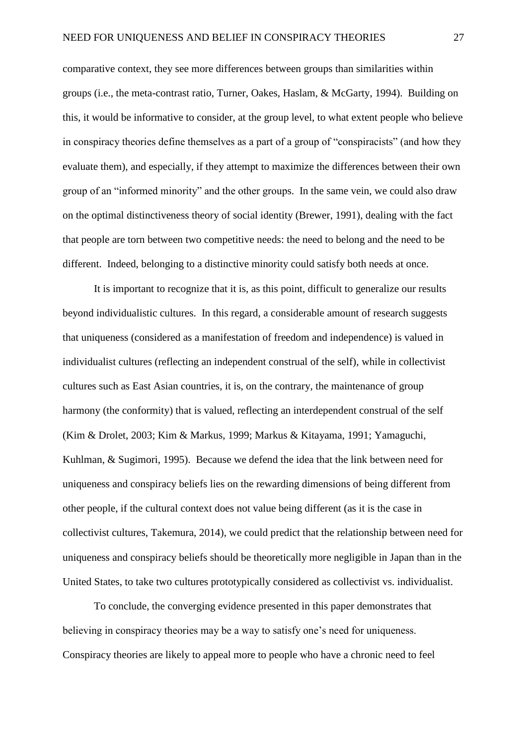comparative context, they see more differences between groups than similarities within groups (i.e., the meta-contrast ratio, Turner, Oakes, Haslam, & McGarty, 1994). Building on this, it would be informative to consider, at the group level, to what extent people who believe in conspiracy theories define themselves as a part of a group of "conspiracists" (and how they evaluate them), and especially, if they attempt to maximize the differences between their own group of an "informed minority" and the other groups. In the same vein, we could also draw on the optimal distinctiveness theory of social identity (Brewer, 1991), dealing with the fact that people are torn between two competitive needs: the need to belong and the need to be different. Indeed, belonging to a distinctive minority could satisfy both needs at once.

 It is important to recognize that it is, as this point, difficult to generalize our results beyond individualistic cultures. In this regard, a considerable amount of research suggests that uniqueness (considered as a manifestation of freedom and independence) is valued in individualist cultures (reflecting an independent construal of the self), while in collectivist cultures such as East Asian countries, it is, on the contrary, the maintenance of group harmony (the conformity) that is valued, reflecting an interdependent construal of the self (Kim & Drolet, 2003; Kim & Markus, 1999; Markus & Kitayama, 1991; Yamaguchi, Kuhlman, & Sugimori, 1995). Because we defend the idea that the link between need for uniqueness and conspiracy beliefs lies on the rewarding dimensions of being different from other people, if the cultural context does not value being different (as it is the case in collectivist cultures, Takemura, 2014), we could predict that the relationship between need for uniqueness and conspiracy beliefs should be theoretically more negligible in Japan than in the United States, to take two cultures prototypically considered as collectivist vs. individualist.

 To conclude, the converging evidence presented in this paper demonstrates that believing in conspiracy theories may be a way to satisfy one's need for uniqueness. Conspiracy theories are likely to appeal more to people who have a chronic need to feel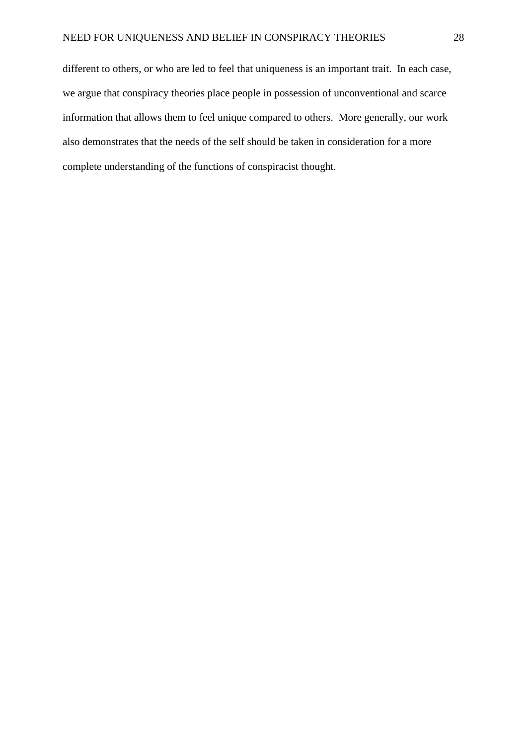different to others, or who are led to feel that uniqueness is an important trait. In each case, we argue that conspiracy theories place people in possession of unconventional and scarce information that allows them to feel unique compared to others. More generally, our work also demonstrates that the needs of the self should be taken in consideration for a more complete understanding of the functions of conspiracist thought.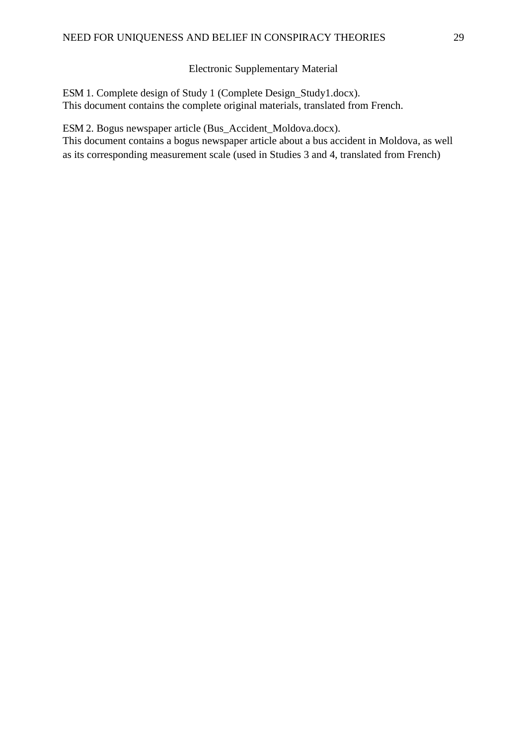#### Electronic Supplementary Material

ESM 1. Complete design of Study 1 (Complete Design\_Study1.docx). This document contains the complete original materials, translated from French.

ESM 2. Bogus newspaper article (Bus\_Accident\_Moldova.docx).

This document contains a bogus newspaper article about a bus accident in Moldova, as well as its corresponding measurement scale (used in Studies 3 and 4, translated from French)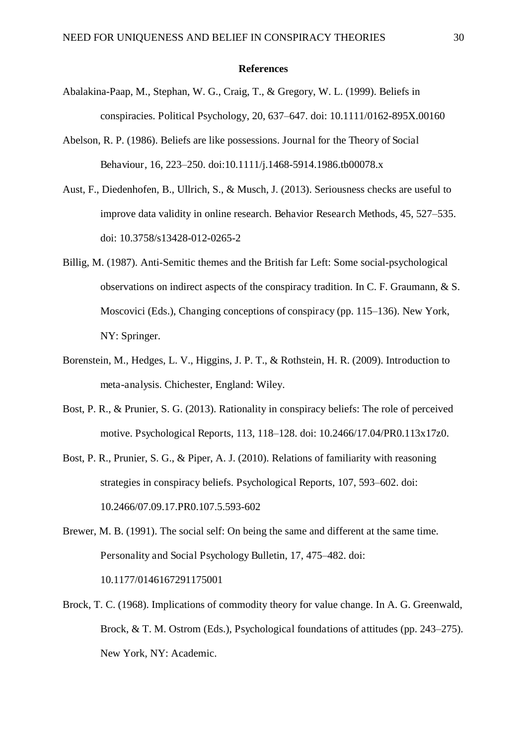#### **References**

- Abalakina-Paap, M., Stephan, W. G., Craig, T., & Gregory, W. L. (1999). Beliefs in conspiracies. Political Psychology, 20, 637–647. doi: 10.1111/0162-895X.00160
- Abelson, R. P. (1986). Beliefs are like possessions. Journal for the Theory of Social Behaviour, 16, 223–250. doi:10.1111/j.1468-5914.1986.tb00078.x
- Aust, F., Diedenhofen, B., Ullrich, S., & Musch, J. (2013). Seriousness checks are useful to improve data validity in online research. Behavior Research Methods, 45, 527–535. doi: 10.3758/s13428-012-0265-2
- Billig, M. (1987). Anti-Semitic themes and the British far Left: Some social-psychological observations on indirect aspects of the conspiracy tradition. In C. F. Graumann, & S. Moscovici (Eds.), Changing conceptions of conspiracy (pp. 115–136). New York, NY: Springer.
- Borenstein, M., Hedges, L. V., Higgins, J. P. T., & Rothstein, H. R. (2009). Introduction to meta-analysis. Chichester, England: Wiley.
- Bost, P. R., & Prunier, S. G. (2013). Rationality in conspiracy beliefs: The role of perceived motive. Psychological Reports, 113, 118–128. doi: 10.2466/17.04/PR0.113x17z0.
- Bost, P. R., Prunier, S. G., & Piper, A. J. (2010). Relations of familiarity with reasoning strategies in conspiracy beliefs. Psychological Reports, 107, 593–602. doi: 10.2466/07.09.17.PR0.107.5.593-602
- Brewer, M. B. (1991). The social self: On being the same and different at the same time. Personality and Social Psychology Bulletin, 17, 475–482. doi: 10.1177/0146167291175001
- Brock, T. C. (1968). Implications of commodity theory for value change. In A. G. Greenwald, Brock, & T. M. Ostrom (Eds.), Psychological foundations of attitudes (pp. 243–275). New York, NY: Academic.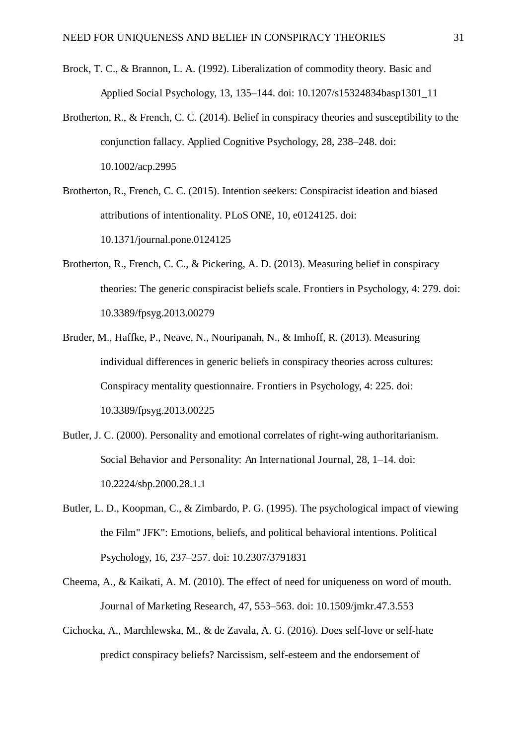- Brock, T. C., & Brannon, L. A. (1992). Liberalization of commodity theory. Basic and Applied Social Psychology, 13, 135–144. doi: 10.1207/s15324834basp1301\_11
- Brotherton, R., & French, C. C. (2014). Belief in conspiracy theories and susceptibility to the conjunction fallacy. Applied Cognitive Psychology, 28, 238–248. doi: 10.1002/acp.2995
- Brotherton, R., French, C. C. (2015). Intention seekers: Conspiracist ideation and biased attributions of intentionality. PLoS ONE, 10, e0124125. doi: 10.1371/journal.pone.0124125
- Brotherton, R., French, C. C., & Pickering, A. D. (2013). Measuring belief in conspiracy theories: The generic conspiracist beliefs scale. Frontiers in Psychology, 4: 279. doi: 10.3389/fpsyg.2013.00279
- Bruder, M., Haffke, P., Neave, N., Nouripanah, N., & Imhoff, R. (2013). Measuring individual differences in generic beliefs in conspiracy theories across cultures: Conspiracy mentality questionnaire. Frontiers in Psychology, 4: 225. doi: 10.3389/fpsyg.2013.00225
- Butler, J. C. (2000). Personality and emotional correlates of right-wing authoritarianism. Social Behavior and Personality: An International Journal, 28, 1–14. doi: 10.2224/sbp.2000.28.1.1
- Butler, L. D., Koopman, C., & Zimbardo, P. G. (1995). The psychological impact of viewing the Film" JFK": Emotions, beliefs, and political behavioral intentions. Political Psychology, 16, 237–257. doi: 10.2307/3791831
- Cheema, A., & Kaikati, A. M. (2010). The effect of need for uniqueness on word of mouth. Journal of Marketing Research, 47, 553–563. doi: 10.1509/jmkr.47.3.553
- Cichocka, A., Marchlewska, M., & de Zavala, A. G. (2016). Does self-love or self-hate predict conspiracy beliefs? Narcissism, self-esteem and the endorsement of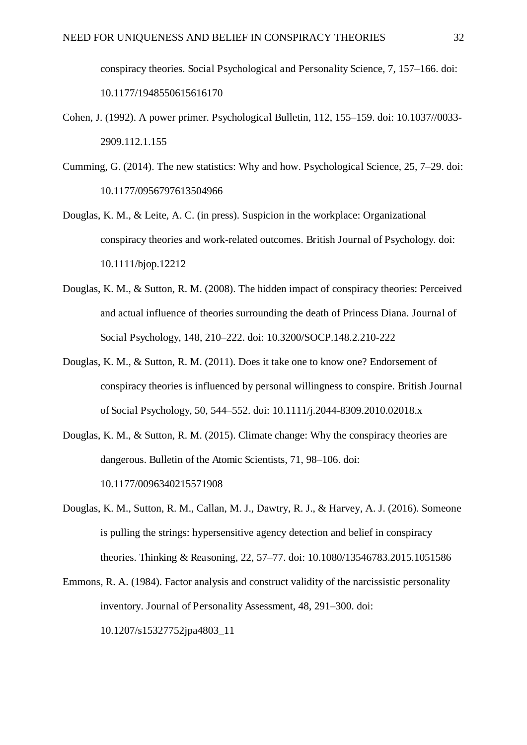conspiracy theories. Social Psychological and Personality Science, 7, 157–166. doi: 10.1177/1948550615616170

- Cohen, J. (1992). A power primer. Psychological Bulletin, 112, 155–159. doi: 10.1037//0033- 2909.112.1.155
- Cumming, G. (2014). The new statistics: Why and how. Psychological Science, 25, 7–29. doi: 10.1177/0956797613504966
- Douglas, K. M., & Leite, A. C. (in press). Suspicion in the workplace: Organizational conspiracy theories and work-related outcomes. British Journal of Psychology. doi: 10.1111/bjop.12212
- Douglas, K. M., & Sutton, R. M. (2008). The hidden impact of conspiracy theories: Perceived and actual influence of theories surrounding the death of Princess Diana. Journal of Social Psychology, 148, 210–222. doi: 10.3200/SOCP.148.2.210-222
- Douglas, K. M., & Sutton, R. M. (2011). Does it take one to know one? Endorsement of conspiracy theories is influenced by personal willingness to conspire. British Journal of Social Psychology, 50, 544–552. doi: 10.1111/j.2044-8309.2010.02018.x
- Douglas, K. M., & Sutton, R. M. (2015). Climate change: Why the conspiracy theories are dangerous. Bulletin of the Atomic Scientists, 71, 98–106. doi: 10.1177/0096340215571908
- Douglas, K. M., Sutton, R. M., Callan, M. J., Dawtry, R. J., & Harvey, A. J. (2016). Someone is pulling the strings: hypersensitive agency detection and belief in conspiracy theories. Thinking & Reasoning, 22, 57–77. doi: 10.1080/13546783.2015.1051586
- Emmons, R. A. (1984). Factor analysis and construct validity of the narcissistic personality inventory. Journal of Personality Assessment, 48, 291–300. doi: 10.1207/s15327752jpa4803\_11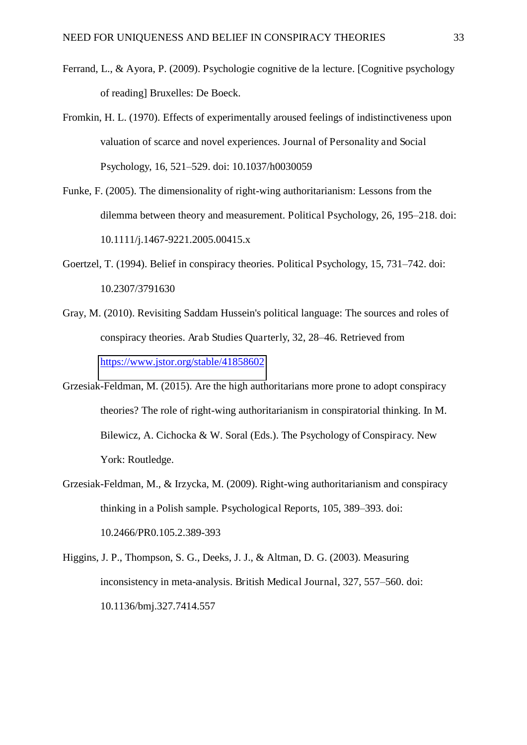- Ferrand, L., & Ayora, P. (2009). Psychologie cognitive de la lecture. [Cognitive psychology of reading] Bruxelles: De Boeck.
- Fromkin, H. L. (1970). Effects of experimentally aroused feelings of indistinctiveness upon valuation of scarce and novel experiences. Journal of Personality and Social Psychology, 16, 521–529. doi: 10.1037/h0030059
- Funke, F. (2005). The dimensionality of right-wing authoritarianism: Lessons from the dilemma between theory and measurement. Political Psychology, 26, 195–218. doi: 10.1111/j.1467-9221.2005.00415.x
- Goertzel, T. (1994). Belief in conspiracy theories. Political Psychology, 15, 731–742. doi: 10.2307/3791630
- Gray, M. (2010). Revisiting Saddam Hussein's political language: The sources and roles of conspiracy theories. Arab Studies Quarterly, 32, 28–46. Retrieved from <https://www.jstor.org/stable/41858602>
- Grzesiak-Feldman, M. (2015). Are the high authoritarians more prone to adopt conspiracy theories? The role of right-wing authoritarianism in conspiratorial thinking. In M. Bilewicz, A. Cichocka & W. Soral (Eds.). The Psychology of Conspiracy. New York: Routledge.
- Grzesiak-Feldman, M., & Irzycka, M. (2009). Right-wing authoritarianism and conspiracy thinking in a Polish sample. Psychological Reports, 105, 389–393. doi: 10.2466/PR0.105.2.389-393
- Higgins, J. P., Thompson, S. G., Deeks, J. J., & Altman, D. G. (2003). Measuring inconsistency in meta-analysis. British Medical Journal, 327, 557–560. doi: 10.1136/bmj.327.7414.557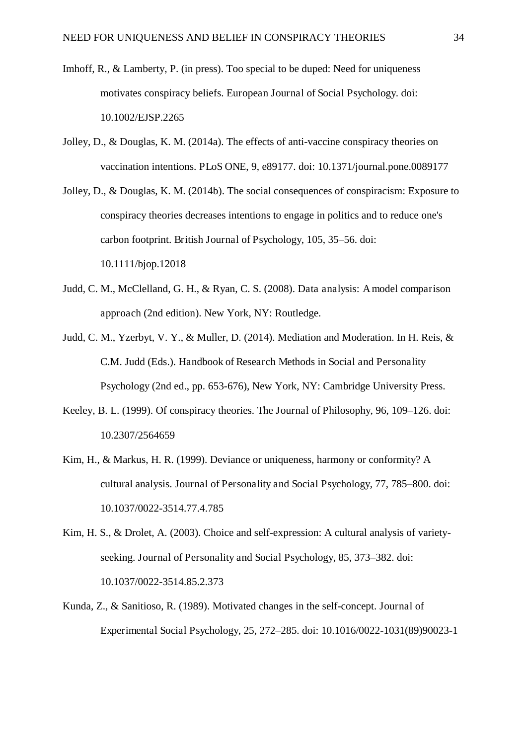- Imhoff, R., & Lamberty, P. (in press). Too special to be duped: Need for uniqueness motivates conspiracy beliefs. European Journal of Social Psychology. doi: 10.1002/EJSP.2265
- Jolley, D., & Douglas, K. M. (2014a). The effects of anti-vaccine conspiracy theories on vaccination intentions. PLoS ONE, 9, e89177. doi: 10.1371/journal.pone.0089177
- Jolley, D., & Douglas, K. M. (2014b). The social consequences of conspiracism: Exposure to conspiracy theories decreases intentions to engage in politics and to reduce one's carbon footprint. British Journal of Psychology, 105, 35–56. doi: 10.1111/bjop.12018
- Judd, C. M., McClelland, G. H., & Ryan, C. S. (2008). Data analysis: A model comparison approach (2nd edition). New York, NY: Routledge.
- Judd, C. M., Yzerbyt, V. Y., & Muller, D. (2014). Mediation and Moderation. In H. Reis, & C.M. Judd (Eds.). Handbook of Research Methods in Social and Personality Psychology (2nd ed., pp. 653-676), New York, NY: Cambridge University Press.
- Keeley, B. L. (1999). Of conspiracy theories. The Journal of Philosophy, 96, 109–126. doi: 10.2307/2564659
- Kim, H., & Markus, H. R. (1999). Deviance or uniqueness, harmony or conformity? A cultural analysis. Journal of Personality and Social Psychology, 77, 785–800. doi: 10.1037/0022-3514.77.4.785
- Kim, H. S., & Drolet, A. (2003). Choice and self-expression: A cultural analysis of varietyseeking. Journal of Personality and Social Psychology, 85, 373–382. doi: 10.1037/0022-3514.85.2.373
- Kunda, Z., & Sanitioso, R. (1989). Motivated changes in the self-concept. Journal of Experimental Social Psychology, 25, 272–285. doi: 10.1016/0022-1031(89)90023-1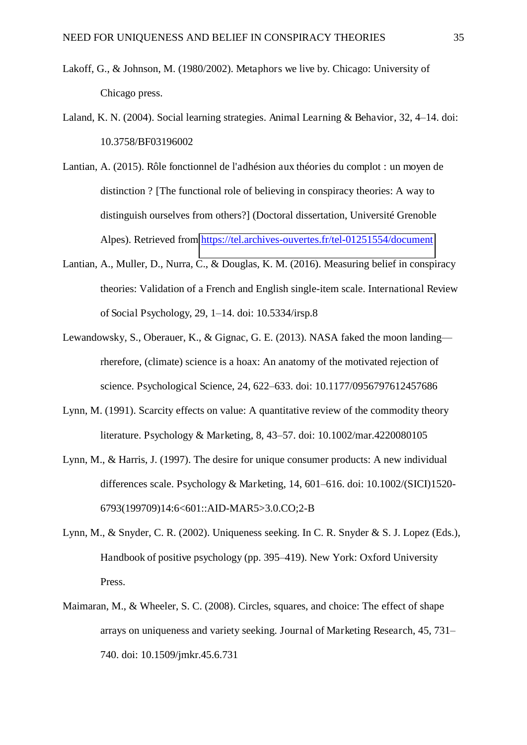- Lakoff, G., & Johnson, M. (1980/2002). Metaphors we live by. Chicago: University of Chicago press.
- Laland, K. N. (2004). Social learning strategies. Animal Learning & Behavior, 32, 4–14. doi: 10.3758/BF03196002
- Lantian, A. (2015). Rôle fonctionnel de l'adhésion aux théories du complot : un moyen de distinction ? [The functional role of believing in conspiracy theories: A way to distinguish ourselves from others?] (Doctoral dissertation, Université Grenoble Alpes). Retrieved from<https://tel.archives-ouvertes.fr/tel-01251554/document>
- Lantian, A., Muller, D., Nurra, C., & Douglas, K. M. (2016). Measuring belief in conspiracy theories: Validation of a French and English single-item scale. International Review of Social Psychology, 29, 1–14. doi: 10.5334/irsp.8
- Lewandowsky, S., Oberauer, K., & Gignac, G. E. (2013). NASA faked the moon landing rherefore, (climate) science is a hoax: An anatomy of the motivated rejection of science. Psychological Science, 24, 622–633. doi: 10.1177/0956797612457686
- Lynn, M. (1991). Scarcity effects on value: A quantitative review of the commodity theory literature. Psychology & Marketing, 8, 43–57. doi: 10.1002/mar.4220080105
- Lynn, M., & Harris, J. (1997). The desire for unique consumer products: A new individual differences scale. Psychology & Marketing, 14, 601–616. doi: 10.1002/(SICI)1520- 6793(199709)14:6<601::AID-MAR5>3.0.CO;2-B
- Lynn, M., & Snyder, C. R. (2002). Uniqueness seeking. In C. R. Snyder & S. J. Lopez (Eds.), Handbook of positive psychology (pp. 395–419). New York: Oxford University Press.
- Maimaran, M., & Wheeler, S. C. (2008). Circles, squares, and choice: The effect of shape arrays on uniqueness and variety seeking. Journal of Marketing Research, 45, 731– 740. doi: 10.1509/jmkr.45.6.731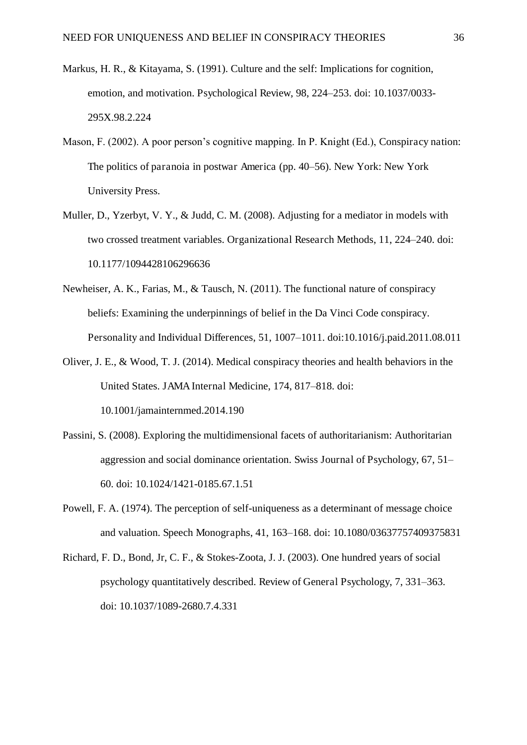- Markus, H. R., & Kitayama, S. (1991). Culture and the self: Implications for cognition, emotion, and motivation. Psychological Review, 98, 224–253. doi: 10.1037/0033- 295X.98.2.224
- Mason, F. (2002). A poor person's cognitive mapping. In P. Knight (Ed.), Conspiracy nation: The politics of paranoia in postwar America (pp. 40–56). New York: New York University Press.
- Muller, D., Yzerbyt, V. Y., & Judd, C. M. (2008). Adjusting for a mediator in models with two crossed treatment variables. Organizational Research Methods, 11, 224–240. doi: 10.1177/1094428106296636
- Newheiser, A. K., Farias, M., & Tausch, N. (2011). The functional nature of conspiracy beliefs: Examining the underpinnings of belief in the Da Vinci Code conspiracy. Personality and Individual Differences, 51, 1007–1011. doi:10.1016/j.paid.2011.08.011
- Oliver, J. E., & Wood, T. J. (2014). Medical conspiracy theories and health behaviors in the United States. JAMA Internal Medicine, 174, 817–818. doi: 10.1001/jamainternmed.2014.190
- Passini, S. (2008). Exploring the multidimensional facets of authoritarianism: Authoritarian aggression and social dominance orientation. Swiss Journal of Psychology, 67, 51– 60. doi: 10.1024/1421-0185.67.1.51
- Powell, F. A. (1974). The perception of self-uniqueness as a determinant of message choice and valuation. Speech Monographs, 41, 163–168. doi: 10.1080/03637757409375831
- Richard, F. D., Bond, Jr, C. F., & Stokes-Zoota, J. J. (2003). One hundred years of social psychology quantitatively described. Review of General Psychology, 7, 331–363. doi: 10.1037/1089-2680.7.4.331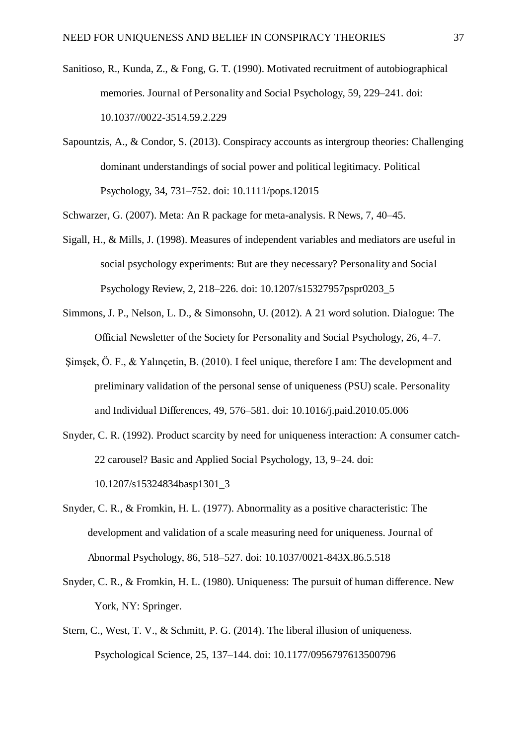- Sanitioso, R., Kunda, Z., & Fong, G. T. (1990). Motivated recruitment of autobiographical memories. Journal of Personality and Social Psychology, 59, 229–241. doi: 10.1037//0022-3514.59.2.229
- Sapountzis, A., & Condor, S. (2013). Conspiracy accounts as intergroup theories: Challenging dominant understandings of social power and political legitimacy. Political Psychology, 34, 731–752. doi: 10.1111/pops.12015

Schwarzer, G. (2007). Meta: An R package for meta-analysis. R News, 7, 40–45.

- Sigall, H., & Mills, J. (1998). Measures of independent variables and mediators are useful in social psychology experiments: But are they necessary? Personality and Social Psychology Review, 2, 218–226. doi: 10.1207/s15327957pspr0203\_5
- Simmons, J. P., Nelson, L. D., & Simonsohn, U. (2012). A 21 word solution. Dialogue: The Official Newsletter of the Society for Personality and Social Psychology, 26, 4–7.
- Şimşek, Ö. F., & Yalınçetin, B. (2010). I feel unique, therefore I am: The development and preliminary validation of the personal sense of uniqueness (PSU) scale. Personality and Individual Differences, 49, 576–581. doi: 10.1016/j.paid.2010.05.006
- Snyder, C. R. (1992). Product scarcity by need for uniqueness interaction: A consumer catch-22 carousel? Basic and Applied Social Psychology, 13, 9–24. doi: 10.1207/s15324834basp1301\_3
- Snyder, C. R., & Fromkin, H. L. (1977). Abnormality as a positive characteristic: The development and validation of a scale measuring need for uniqueness. Journal of Abnormal Psychology, 86, 518–527. doi: 10.1037/0021-843X.86.5.518
- Snyder, C. R., & Fromkin, H. L. (1980). Uniqueness: The pursuit of human difference. New York, NY: Springer.
- Stern, C., West, T. V., & Schmitt, P. G. (2014). The liberal illusion of uniqueness. Psychological Science, 25, 137–144. doi: 10.1177/0956797613500796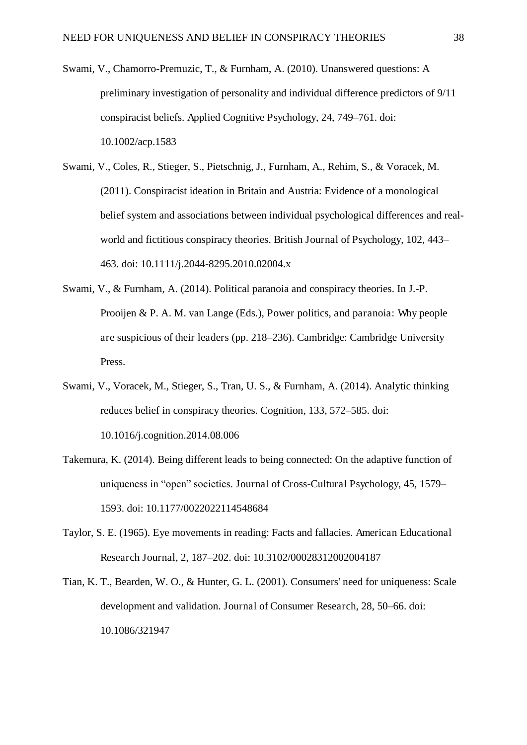- Swami, V., Chamorro-Premuzic, T., & Furnham, A. (2010). Unanswered questions: A preliminary investigation of personality and individual difference predictors of 9/11 conspiracist beliefs. Applied Cognitive Psychology, 24, 749–761. doi: 10.1002/acp.1583
- Swami, V., Coles, R., Stieger, S., Pietschnig, J., Furnham, A., Rehim, S., & Voracek, M. (2011). Conspiracist ideation in Britain and Austria: Evidence of a monological belief system and associations between individual psychological differences and realworld and fictitious conspiracy theories. British Journal of Psychology, 102, 443– 463. doi: 10.1111/j.2044-8295.2010.02004.x
- Swami, V., & Furnham, A. (2014). Political paranoia and conspiracy theories. In J.-P. Prooijen & P. A. M. van Lange (Eds.), Power politics, and paranoia: Why people are suspicious of their leaders (pp. 218–236). Cambridge: Cambridge University Press.
- Swami, V., Voracek, M., Stieger, S., Tran, U. S., & Furnham, A. (2014). Analytic thinking reduces belief in conspiracy theories. Cognition, 133, 572–585. doi: 10.1016/j.cognition.2014.08.006
- Takemura, K. (2014). Being different leads to being connected: On the adaptive function of uniqueness in "open" societies. Journal of Cross-Cultural Psychology, 45, 1579– 1593. doi: 10.1177/0022022114548684
- Taylor, S. E. (1965). Eye movements in reading: Facts and fallacies. American Educational Research Journal, 2, 187–202. doi: 10.3102/00028312002004187
- Tian, K. T., Bearden, W. O., & Hunter, G. L. (2001). Consumers' need for uniqueness: Scale development and validation. Journal of Consumer Research, 28, 50–66. doi: 10.1086/321947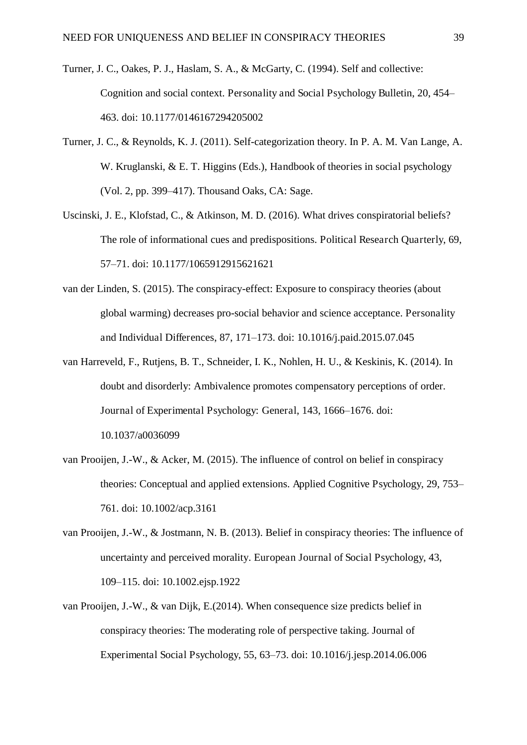- Turner, J. C., Oakes, P. J., Haslam, S. A., & McGarty, C. (1994). Self and collective: Cognition and social context. Personality and Social Psychology Bulletin, 20, 454– 463. doi: 10.1177/0146167294205002
- Turner, J. C., & Reynolds, K. J. (2011). Self-categorization theory. In P. A. M. Van Lange, A. W. Kruglanski, & E. T. Higgins (Eds.), Handbook of theories in social psychology (Vol. 2, pp. 399–417). Thousand Oaks, CA: Sage.
- Uscinski, J. E., Klofstad, C., & Atkinson, M. D. (2016). What drives conspiratorial beliefs? The role of informational cues and predispositions. Political Research Quarterly, 69, 57–71. doi: 10.1177/1065912915621621
- van der Linden, S. (2015). The conspiracy-effect: Exposure to conspiracy theories (about global warming) decreases pro-social behavior and science acceptance. Personality and Individual Differences, 87, 171–173. doi: 10.1016/j.paid.2015.07.045
- van Harreveld, F., Rutjens, B. T., Schneider, I. K., Nohlen, H. U., & Keskinis, K. (2014). In doubt and disorderly: Ambivalence promotes compensatory perceptions of order. Journal of Experimental Psychology: General, 143, 1666–1676. doi: 10.1037/a0036099
- van Prooijen, J.-W., & Acker, M. (2015). The influence of control on belief in conspiracy theories: Conceptual and applied extensions. Applied Cognitive Psychology, 29, 753– 761. doi: 10.1002/acp.3161
- van Prooijen, J.-W., & Jostmann, N. B. (2013). Belief in conspiracy theories: The influence of uncertainty and perceived morality. European Journal of Social Psychology, 43, 109–115. doi: 10.1002.ejsp.1922
- van Prooijen, J.-W., & van Dijk, E.(2014). When consequence size predicts belief in conspiracy theories: The moderating role of perspective taking. Journal of Experimental Social Psychology, 55, 63–73. doi: 10.1016/j.jesp.2014.06.006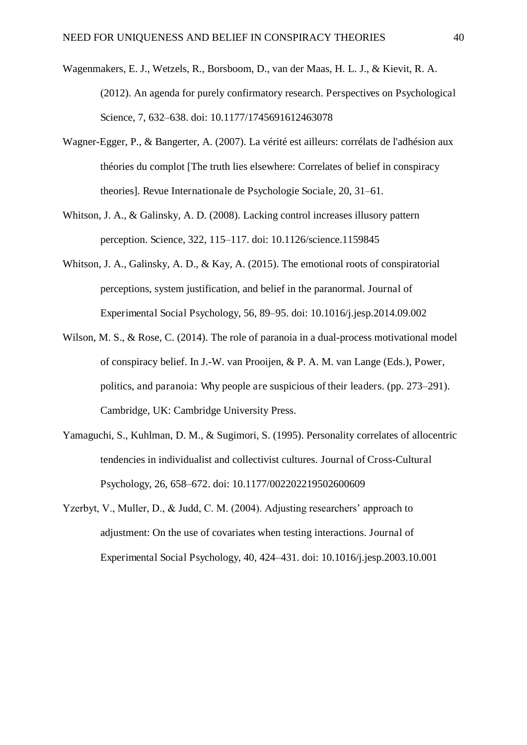- Wagenmakers, E. J., Wetzels, R., Borsboom, D., van der Maas, H. L. J., & Kievit, R. A. (2012). An agenda for purely confirmatory research. Perspectives on Psychological Science, 7, 632–638. doi: 10.1177/1745691612463078
- Wagner-Egger, P., & Bangerter, A. (2007). La vérité est ailleurs: corrélats de l'adhésion aux théories du complot [The truth lies elsewhere: Correlates of belief in conspiracy theories]. Revue Internationale de Psychologie Sociale, 20, 31–61.
- Whitson, J. A., & Galinsky, A. D. (2008). Lacking control increases illusory pattern perception. Science, 322, 115–117. doi: 10.1126/science.1159845
- Whitson, J. A., Galinsky, A. D., & Kay, A. (2015). The emotional roots of conspiratorial perceptions, system justification, and belief in the paranormal. Journal of Experimental Social Psychology, 56, 89–95. doi: 10.1016/j.jesp.2014.09.002
- Wilson, M. S., & Rose, C. (2014). The role of paranoia in a dual-process motivational model of conspiracy belief. In J.-W. van Prooijen, & P. A. M. van Lange (Eds.), Power, politics, and paranoia: Why people are suspicious of their leaders. (pp. 273–291). Cambridge, UK: Cambridge University Press.
- Yamaguchi, S., Kuhlman, D. M., & Sugimori, S. (1995). Personality correlates of allocentric tendencies in individualist and collectivist cultures. Journal of Cross-Cultural Psychology, 26, 658–672. doi: 10.1177/002202219502600609
- Yzerbyt, V., Muller, D., & Judd, C. M. (2004). Adjusting researchers' approach to adjustment: On the use of covariates when testing interactions. Journal of Experimental Social Psychology, 40, 424–431. doi: 10.1016/j.jesp.2003.10.001